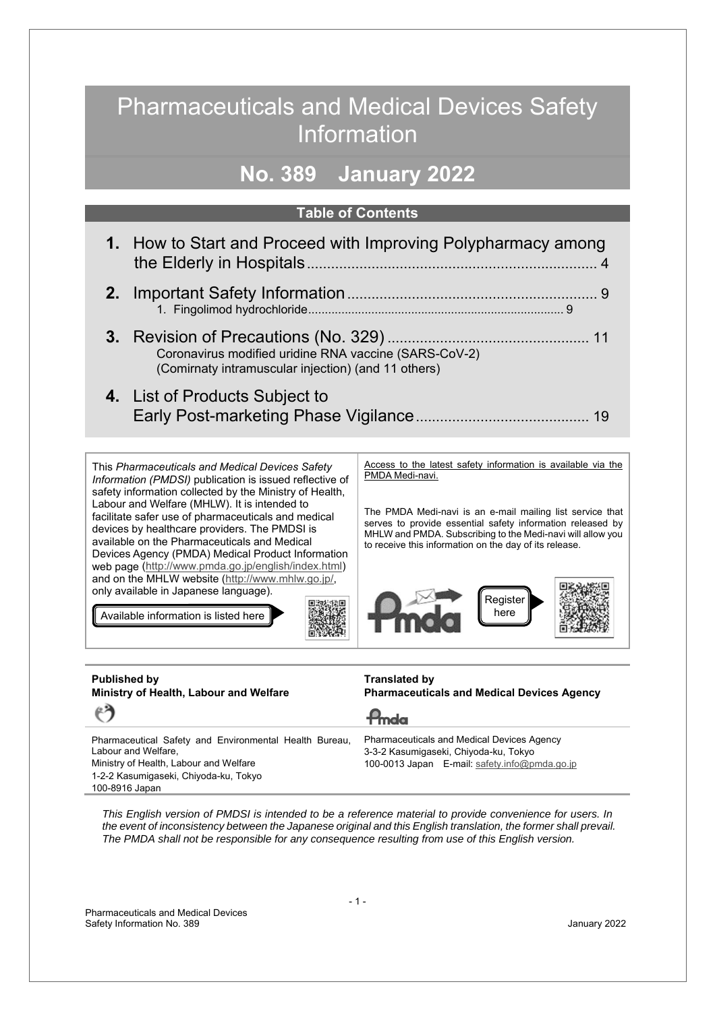## Pharmaceuticals and Medical Devices Safety Information

## **No. 389 January 2022**

### **Table of Contents**

| 1. How to Start and Proceed with Improving Polypharmacy among                                                |
|--------------------------------------------------------------------------------------------------------------|
|                                                                                                              |
| Coronavirus modified uridine RNA vaccine (SARS-CoV-2)<br>(Comirnaty intramuscular injection) (and 11 others) |
| 4. List of Products Subject to                                                                               |

This *Pharmaceuticals and Medical Devices Safety Information (PMDSI)* publication is issued reflective of safety information collected by the Ministry of Health, Labour and Welfare (MHLW). It is intended to facilitate safer use of pharmaceuticals and medical devices by healthcare providers. The PMDSI is available on the Pharmaceuticals and Medical Devices Agency (PMDA) Medical Product Information web page (http://www.pmda.go.jp/english/index.html) and on the MHLW website (http://www.mhlw.go.jp/, only available in Japanese language).

Available information is listed here

Access to the latest safety information is available via the PMDA Medi-navi.

The PMDA Medi-navi is an e-mail mailing list service that serves to provide essential safety information released by MHLW and PMDA. Subscribing to the Medi-navi will allow you to receive this information on the day of its release.



| <b>Published by</b><br>Ministry of Health, Labour and Welfare | <b>Translated by</b><br><b>Pharmaceuticals and Medical Devices Agency</b> |
|---------------------------------------------------------------|---------------------------------------------------------------------------|
| $\epsilon$ )                                                  | $P_{\text{md}\alpha}$                                                     |
| Pharmaceutical Safety and Environmental Health Bureau,        | <b>Pharmaceuticals and Medical Devices Agency</b>                         |
| Labour and Welfare,                                           | 3-3-2 Kasumigaseki, Chiyoda-ku, Tokyo                                     |
| Ministry of Health, Labour and Welfare                        | 100-0013 Japan E-mail: safety.info@pmda.go.jp                             |
| 1-2-2 Kasumigaseki, Chiyoda-ku, Tokyo                         |                                                                           |
| 100-8916 Japan                                                |                                                                           |

*This English version of PMDSI is intended to be a reference material to provide convenience for users. In*  the event of inconsistency between the Japanese original and this English translation, the former shall prevail. *The PMDA shall not be responsible for any consequence resulting from use of this English version.*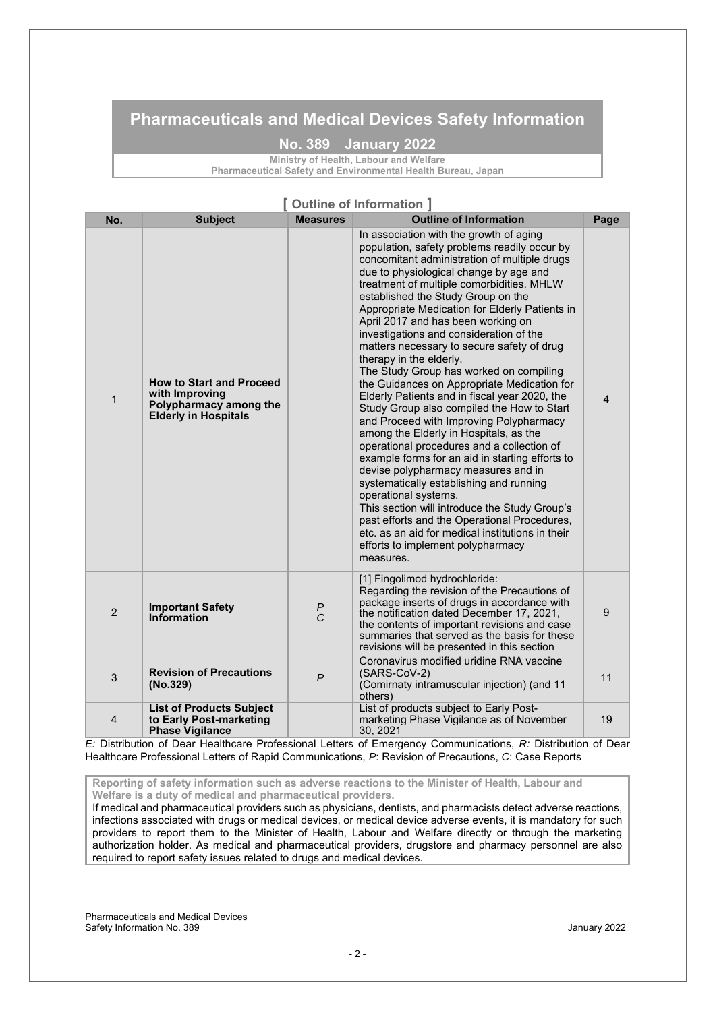### **Pharmaceuticals and Medical Devices Safety Information**

### **No. 389 January 2022**

**Ministry of Health, Labour and Welfare** 

**Pharmaceutical Safety and Environmental Health Bureau, Japan**

### **[ Outline of Information ]**

| No.            | <b>Subject</b>                                                                                             | Measures           | <b>Outline of Information</b>                                                                                                                                                                                                                                                                                                                                                                                                                                                                                                                                                                                                                                                                                                                                                                                                                                                                                                                                                                                                                                                                                                                                                    | Page           |
|----------------|------------------------------------------------------------------------------------------------------------|--------------------|----------------------------------------------------------------------------------------------------------------------------------------------------------------------------------------------------------------------------------------------------------------------------------------------------------------------------------------------------------------------------------------------------------------------------------------------------------------------------------------------------------------------------------------------------------------------------------------------------------------------------------------------------------------------------------------------------------------------------------------------------------------------------------------------------------------------------------------------------------------------------------------------------------------------------------------------------------------------------------------------------------------------------------------------------------------------------------------------------------------------------------------------------------------------------------|----------------|
| $\mathbf{1}$   | <b>How to Start and Proceed</b><br>with Improving<br>Polypharmacy among the<br><b>Elderly in Hospitals</b> |                    | In association with the growth of aging<br>population, safety problems readily occur by<br>concomitant administration of multiple drugs<br>due to physiological change by age and<br>treatment of multiple comorbidities. MHLW<br>established the Study Group on the<br>Appropriate Medication for Elderly Patients in<br>April 2017 and has been working on<br>investigations and consideration of the<br>matters necessary to secure safety of drug<br>therapy in the elderly.<br>The Study Group has worked on compiling<br>the Guidances on Appropriate Medication for<br>Elderly Patients and in fiscal year 2020, the<br>Study Group also compiled the How to Start<br>and Proceed with Improving Polypharmacy<br>among the Elderly in Hospitals, as the<br>operational procedures and a collection of<br>example forms for an aid in starting efforts to<br>devise polypharmacy measures and in<br>systematically establishing and running<br>operational systems.<br>This section will introduce the Study Group's<br>past efforts and the Operational Procedures,<br>etc. as an aid for medical institutions in their<br>efforts to implement polypharmacy<br>measures. | $\overline{4}$ |
| 2              | <b>Important Safety</b><br>Information                                                                     | P<br>$\mathcal{C}$ | [1] Fingolimod hydrochloride:<br>Regarding the revision of the Precautions of<br>package inserts of drugs in accordance with<br>the notification dated December 17, 2021,<br>the contents of important revisions and case<br>summaries that served as the basis for these<br>revisions will be presented in this section                                                                                                                                                                                                                                                                                                                                                                                                                                                                                                                                                                                                                                                                                                                                                                                                                                                         | 9              |
| 3              | <b>Revision of Precautions</b><br>(No.329)                                                                 | $\overline{P}$     | Coronavirus modified uridine RNA vaccine<br>(SARS-CoV-2)<br>(Comirnaty intramuscular injection) (and 11<br>others)                                                                                                                                                                                                                                                                                                                                                                                                                                                                                                                                                                                                                                                                                                                                                                                                                                                                                                                                                                                                                                                               | 11             |
| $\overline{4}$ | <b>List of Products Subject</b><br>to Early Post-marketing<br><b>Phase Vigilance</b>                       |                    | List of products subject to Early Post-<br>marketing Phase Vigilance as of November<br>30, 2021                                                                                                                                                                                                                                                                                                                                                                                                                                                                                                                                                                                                                                                                                                                                                                                                                                                                                                                                                                                                                                                                                  | 19             |

*E:* Distribution of Dear Healthcare Professional Letters of Emergency Communications, *R:* Distribution of Dear Healthcare Professional Letters of Rapid Communications, *P*: Revision of Precautions, *C*: Case Reports

**Reporting of safety information such as adverse reactions to the Minister of Health, Labour and Welfare is a duty of medical and pharmaceutical providers.** 

If medical and pharmaceutical providers such as physicians, dentists, and pharmacists detect adverse reactions, infections associated with drugs or medical devices, or medical device adverse events, it is mandatory for such providers to report them to the Minister of Health, Labour and Welfare directly or through the marketing authorization holder. As medical and pharmaceutical providers, drugstore and pharmacy personnel are also required to report safety issues related to drugs and medical devices.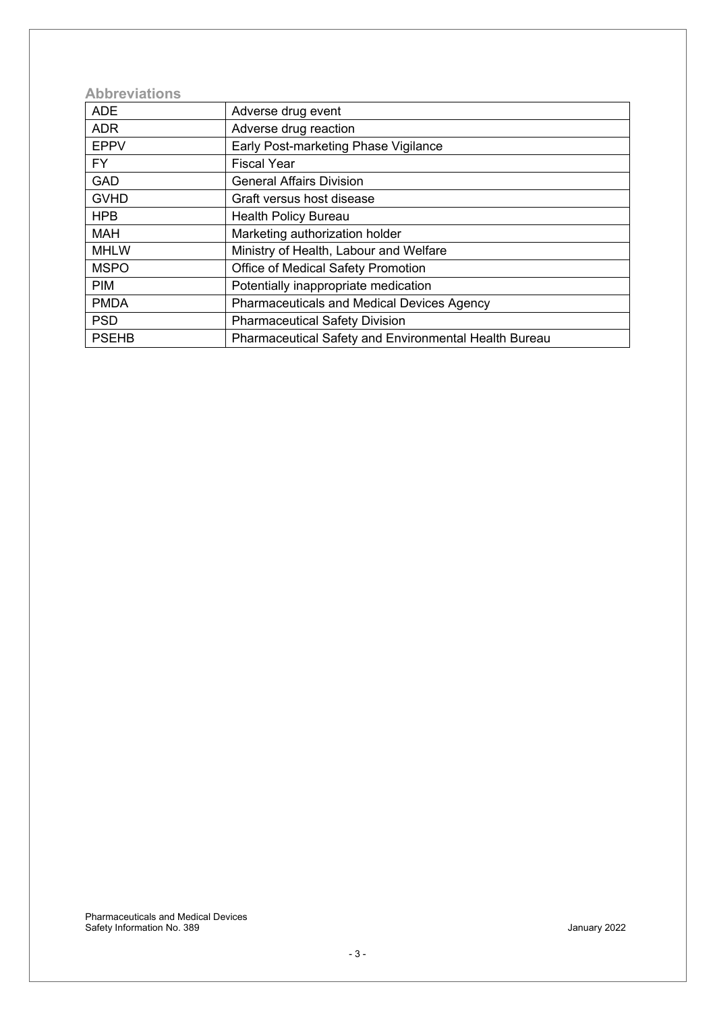### **Abbreviations**

| <b>ADE</b>   | Adverse drug event                                           |
|--------------|--------------------------------------------------------------|
| <b>ADR</b>   | Adverse drug reaction                                        |
| <b>EPPV</b>  | Early Post-marketing Phase Vigilance                         |
| <b>FY</b>    | <b>Fiscal Year</b>                                           |
| <b>GAD</b>   | <b>General Affairs Division</b>                              |
| <b>GVHD</b>  | Graft versus host disease                                    |
| <b>HPB</b>   | <b>Health Policy Bureau</b>                                  |
| <b>MAH</b>   | Marketing authorization holder                               |
| <b>MHLW</b>  | Ministry of Health, Labour and Welfare                       |
| <b>MSPO</b>  | Office of Medical Safety Promotion                           |
| <b>PIM</b>   | Potentially inappropriate medication                         |
| <b>PMDA</b>  | <b>Pharmaceuticals and Medical Devices Agency</b>            |
| <b>PSD</b>   | <b>Pharmaceutical Safety Division</b>                        |
| <b>PSEHB</b> | <b>Pharmaceutical Safety and Environmental Health Bureau</b> |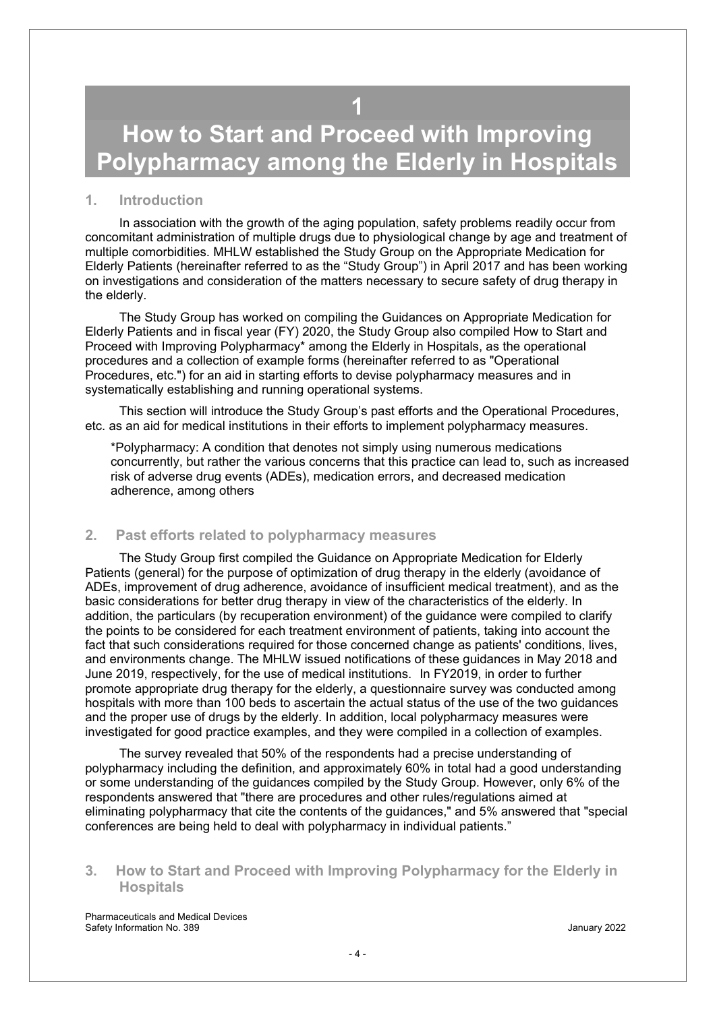## **1**

# <span id="page-3-0"></span>**How to Start and Proceed with Improving Polypharmacy among the Elderly in Hospitals**

### **1. Introduction**

 In association with the growth of the aging population, safety problems readily occur from concomitant administration of multiple drugs due to physiological change by age and treatment of multiple comorbidities. MHLW established the Study Group on the Appropriate Medication for Elderly Patients (hereinafter referred to as the "Study Group") in April 2017 and has been working on investigations and consideration of the matters necessary to secure safety of drug therapy in the elderly.

 The Study Group has worked on compiling the Guidances on Appropriate Medication for Elderly Patients and in fiscal year (FY) 2020, the Study Group also compiled How to Start and Proceed with Improving Polypharmacy\* among the Elderly in Hospitals, as the operational procedures and a collection of example forms (hereinafter referred to as "Operational Procedures, etc.") for an aid in starting efforts to devise polypharmacy measures and in systematically establishing and running operational systems.

This section will introduce the Study Group's past efforts and the Operational Procedures, etc. as an aid for medical institutions in their efforts to implement polypharmacy measures.

 \*Polypharmacy: A condition that denotes not simply using numerous medications concurrently, but rather the various concerns that this practice can lead to, such as increased risk of adverse drug events (ADEs), medication errors, and decreased medication adherence, among others

### **2. Past efforts related to polypharmacy measures**

The Study Group first compiled the Guidance on Appropriate Medication for Elderly Patients (general) for the purpose of optimization of drug therapy in the elderly (avoidance of ADEs, improvement of drug adherence, avoidance of insufficient medical treatment), and as the basic considerations for better drug therapy in view of the characteristics of the elderly. In addition, the particulars (by recuperation environment) of the guidance were compiled to clarify the points to be considered for each treatment environment of patients, taking into account the fact that such considerations required for those concerned change as patients' conditions, lives, and environments change. The MHLW issued notifications of these guidances in May 2018 and June 2019, respectively, for the use of medical institutions. In FY2019, in order to further promote appropriate drug therapy for the elderly, a questionnaire survey was conducted among hospitals with more than 100 beds to ascertain the actual status of the use of the two guidances and the proper use of drugs by the elderly. In addition, local polypharmacy measures were investigated for good practice examples, and they were compiled in a collection of examples.

 The survey revealed that 50% of the respondents had a precise understanding of polypharmacy including the definition, and approximately 60% in total had a good understanding or some understanding of the guidances compiled by the Study Group. However, only 6% of the respondents answered that "there are procedures and other rules/regulations aimed at eliminating polypharmacy that cite the contents of the guidances," and 5% answered that "special conferences are being held to deal with polypharmacy in individual patients."

### **3. How to Start and Proceed with Improving Polypharmacy for the Elderly in Hospitals**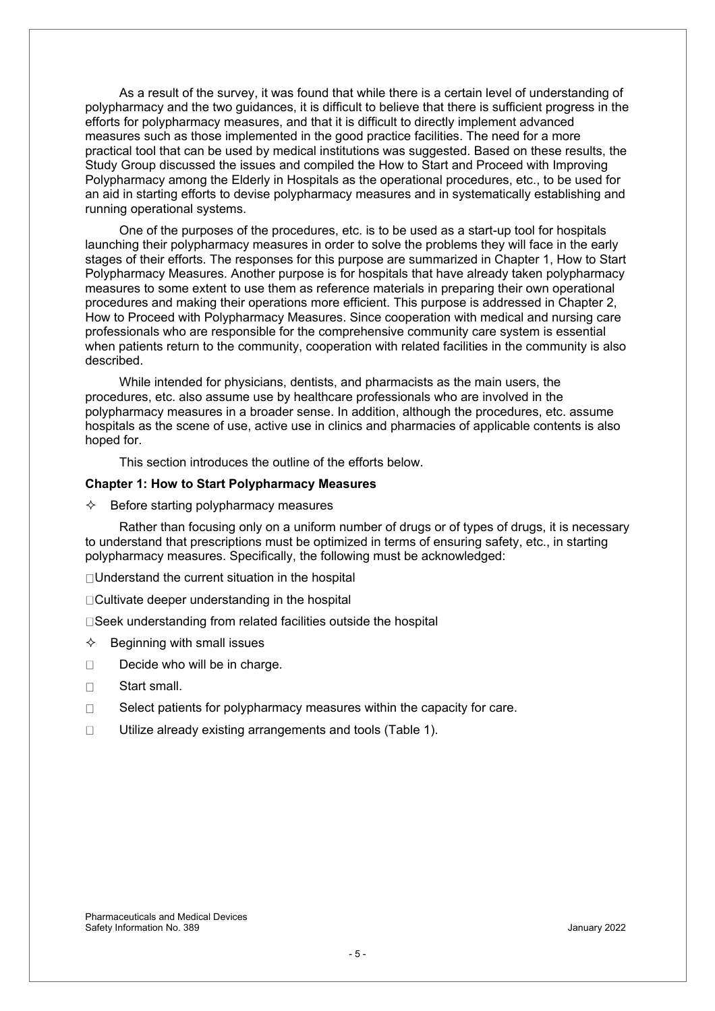As a result of the survey, it was found that while there is a certain level of understanding of polypharmacy and the two guidances, it is difficult to believe that there is sufficient progress in the efforts for polypharmacy measures, and that it is difficult to directly implement advanced measures such as those implemented in the good practice facilities. The need for a more practical tool that can be used by medical institutions was suggested. Based on these results, the Study Group discussed the issues and compiled the How to Start and Proceed with Improving Polypharmacy among the Elderly in Hospitals as the operational procedures, etc., to be used for an aid in starting efforts to devise polypharmacy measures and in systematically establishing and running operational systems.

 One of the purposes of the procedures, etc. is to be used as a start-up tool for hospitals launching their polypharmacy measures in order to solve the problems they will face in the early stages of their efforts. The responses for this purpose are summarized in Chapter 1, How to Start Polypharmacy Measures. Another purpose is for hospitals that have already taken polypharmacy measures to some extent to use them as reference materials in preparing their own operational procedures and making their operations more efficient. This purpose is addressed in Chapter 2, How to Proceed with Polypharmacy Measures. Since cooperation with medical and nursing care professionals who are responsible for the comprehensive community care system is essential when patients return to the community, cooperation with related facilities in the community is also described.

 While intended for physicians, dentists, and pharmacists as the main users, the procedures, etc. also assume use by healthcare professionals who are involved in the polypharmacy measures in a broader sense. In addition, although the procedures, etc. assume hospitals as the scene of use, active use in clinics and pharmacies of applicable contents is also hoped for.

This section introduces the outline of the efforts below.

### **Chapter 1: How to Start Polypharmacy Measures**

 $\Diamond$  Before starting polypharmacy measures

 Rather than focusing only on a uniform number of drugs or of types of drugs, it is necessary to understand that prescriptions must be optimized in terms of ensuring safety, etc., in starting polypharmacy measures. Specifically, the following must be acknowledged:

□ Understand the current situation in the hospital

□Cultivate deeper understanding in the hospital

□Seek understanding from related facilities outside the hospital

- $\Leftrightarrow$  Beginning with small issues
- $\Box$  Decide who will be in charge.
- □ Start small.
- $\Box$  Select patients for polypharmacy measures within the capacity for care.
- $\Box$  Utilize already existing arrangements and tools (Table 1).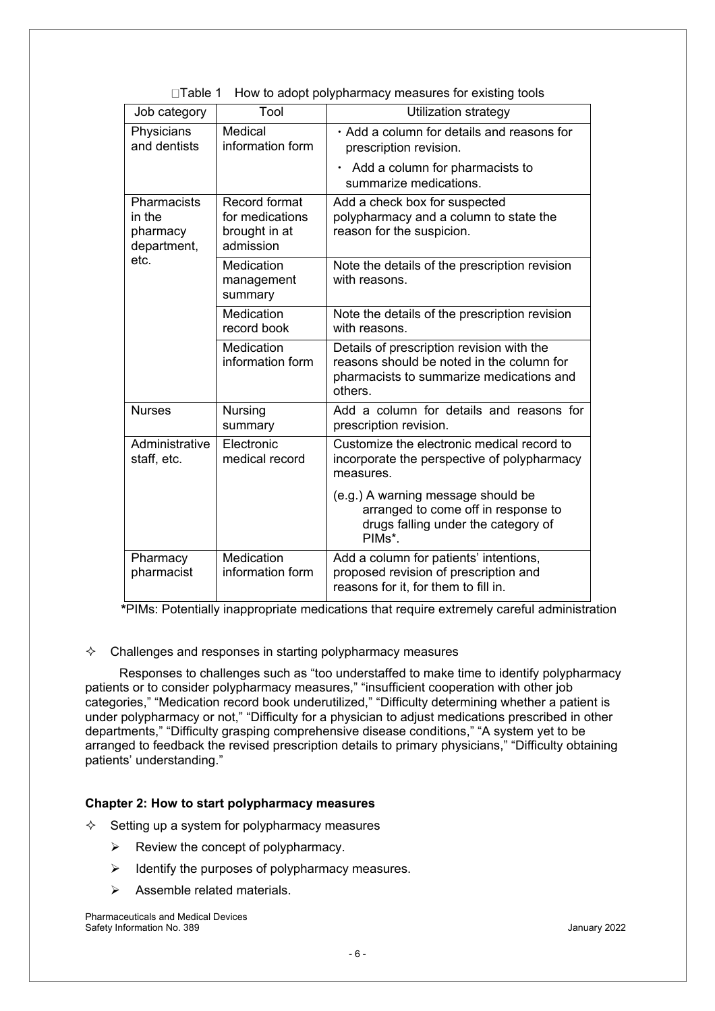| Job category                                     | Tool                                                           | Utilization strategy                                                                                                                          |
|--------------------------------------------------|----------------------------------------------------------------|-----------------------------------------------------------------------------------------------------------------------------------------------|
| Physicians<br>and dentists                       | Medical<br>information form                                    | · Add a column for details and reasons for<br>prescription revision.                                                                          |
|                                                  |                                                                | $\cdot$ Add a column for pharmacists to<br>summarize medications.                                                                             |
| Pharmacists<br>in the<br>pharmacy<br>department, | Record format<br>for medications<br>brought in at<br>admission | Add a check box for suspected<br>polypharmacy and a column to state the<br>reason for the suspicion.                                          |
| etc.                                             | Medication<br>management<br>summary                            | Note the details of the prescription revision<br>with reasons.                                                                                |
|                                                  | Medication<br>record book                                      | Note the details of the prescription revision<br>with reasons.                                                                                |
|                                                  | Medication<br>information form                                 | Details of prescription revision with the<br>reasons should be noted in the column for<br>pharmacists to summarize medications and<br>others. |
| <b>Nurses</b>                                    | Nursing<br>summary                                             | Add a column for details and reasons for<br>prescription revision.                                                                            |
| Administrative<br>staff, etc.                    | Electronic<br>medical record                                   | Customize the electronic medical record to<br>incorporate the perspective of polypharmacy<br>measures.                                        |
|                                                  |                                                                | (e.g.) A warning message should be<br>arranged to come off in response to<br>drugs falling under the category of<br>PIMs*.                    |
| Pharmacy<br>pharmacist                           | Medication<br>information form                                 | Add a column for patients' intentions,<br>proposed revision of prescription and<br>reasons for it, for them to fill in.                       |

| □Table 1 How to adopt polypharmacy measures for existing tools |  |  |  |  |  |  |  |  |
|----------------------------------------------------------------|--|--|--|--|--|--|--|--|
|----------------------------------------------------------------|--|--|--|--|--|--|--|--|

 **\***PIMs: Potentially inappropriate medications that require extremely careful administration

### $\Diamond$  Challenges and responses in starting polypharmacy measures

Responses to challenges such as "too understaffed to make time to identify polypharmacy patients or to consider polypharmacy measures," "insufficient cooperation with other job categories," "Medication record book underutilized," "Difficulty determining whether a patient is under polypharmacy or not," "Difficulty for a physician to adjust medications prescribed in other departments," "Difficulty grasping comprehensive disease conditions," "A system yet to be arranged to feedback the revised prescription details to primary physicians," "Difficulty obtaining patients' understanding."

### **Chapter 2: How to start polypharmacy measures**

- $\Diamond$  Setting up a system for polypharmacy measures
	- $\triangleright$  Review the concept of polypharmacy.
	- $\triangleright$  Identify the purposes of polypharmacy measures.
	- $\triangleright$  Assemble related materials.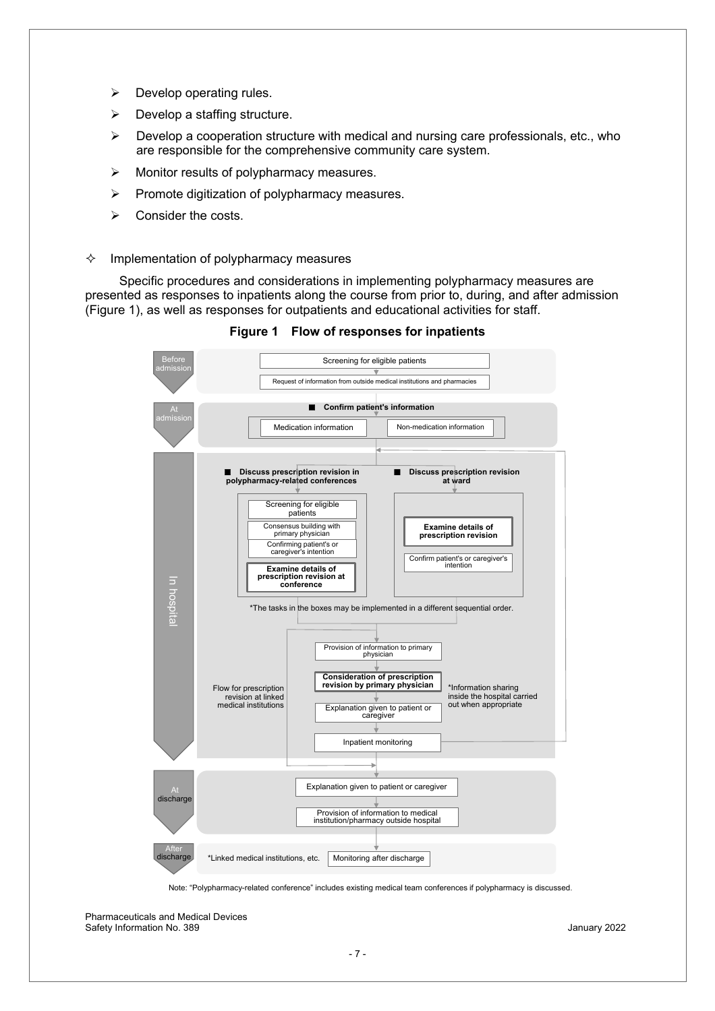- $\triangleright$  Develop operating rules.
- $\triangleright$  Develop a staffing structure.
- $\triangleright$  Develop a cooperation structure with medical and nursing care professionals, etc., who are responsible for the comprehensive community care system.
- $\triangleright$  Monitor results of polypharmacy measures.
- $\triangleright$  Promote digitization of polypharmacy measures.
- $\triangleright$  Consider the costs.

#### $\Diamond$  Implementation of polypharmacy measures

 Specific procedures and considerations in implementing polypharmacy measures are presented as responses to inpatients along the course from prior to, during, and after admission (Figure 1), as well as responses for outpatients and educational activities for staff.



**Figure 1 Flow of responses for inpatients** 

Note: "Polypharmacy-related conference" includes existing medical team conferences if polypharmacy is discussed.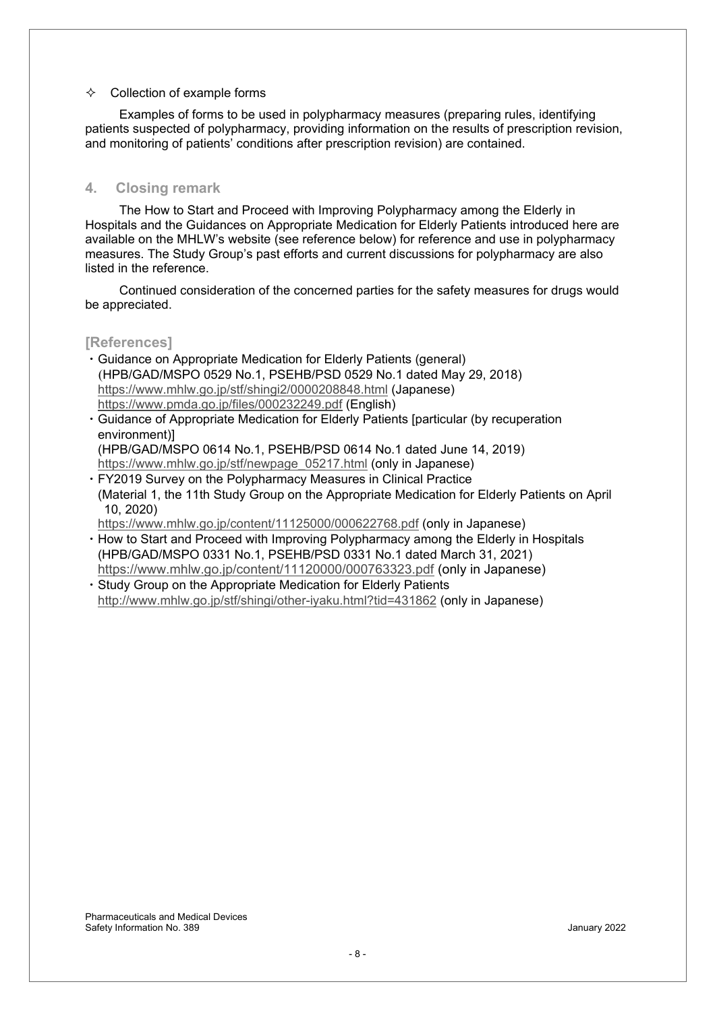#### $\Leftrightarrow$  Collection of example forms

 Examples of forms to be used in polypharmacy measures (preparing rules, identifying patients suspected of polypharmacy, providing information on the results of prescription revision, and monitoring of patients' conditions after prescription revision) are contained.

### **4. Closing remark**

 The How to Start and Proceed with Improving Polypharmacy among the Elderly in Hospitals and the Guidances on Appropriate Medication for Elderly Patients introduced here are available on the MHLW's website (see reference below) for reference and use in polypharmacy measures. The Study Group's past efforts and current discussions for polypharmacy are also listed in the reference.

 Continued consideration of the concerned parties for the safety measures for drugs would be appreciated.

### **[References]**

- ࣭Guidance on Appropriate Medication for Elderly Patients (general) (HPB/GAD/MSPO 0529 No.1, PSEHB/PSD 0529 No.1 dated May 29, 2018) https://www.mhlw.go.jp/stf/shingi2/0000208848.html (Japanese) https://www.pmda.go.jp/files/000232249.pdf (English)
- ࣭Guidance of Appropriate Medication for Elderly Patients [particular (by recuperation environment)] (HPB/GAD/MSPO 0614 No.1, PSEHB/PSD 0614 No.1 dated June 14, 2019)

https://www.mhlw.go.jp/stf/newpage\_05217.html (only in Japanese)

࣭FY2019 Survey on the Polypharmacy Measures in Clinical Practice (Material 1, the 11th Study Group on the Appropriate Medication for Elderly Patients on April 10, 2020)

https://www.mhlw.go.jp/content/11125000/000622768.pdf (only in Japanese)

- How to Start and Proceed with Improving Polypharmacy among the Elderly in Hospitals (HPB/GAD/MSPO 0331 No.1, PSEHB/PSD 0331 No.1 dated March 31, 2021) https://www.mhlw.go.jp/content/11120000/000763323.pdf (only in Japanese)
- Study Group on the Appropriate Medication for Elderly Patients http://www.mhlw.go.jp/stf/shingi/other-iyaku.html?tid=431862 (only in Japanese)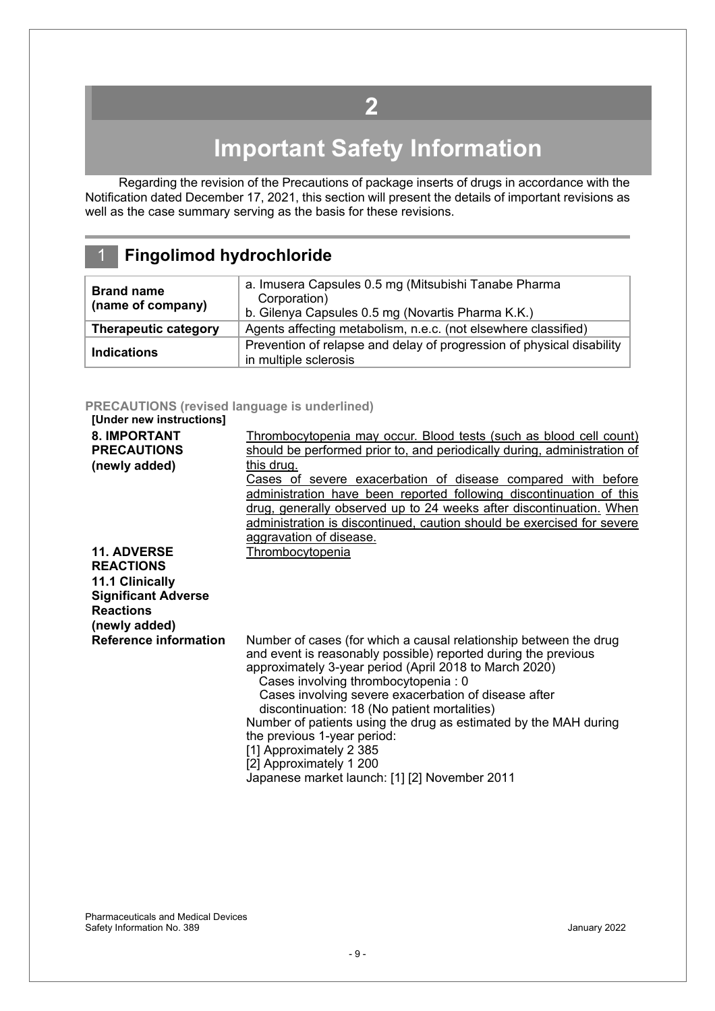## **2**

# **Important Safety Information**

<span id="page-8-0"></span>Regarding the revision of the Precautions of package inserts of drugs in accordance with the Notification dated December 17, 2021, this section will present the details of important revisions as well as the case summary serving as the basis for these revisions.

### 1 **Fingolimod hydrochloride**

| <b>Brand name</b><br>(name of company) | a. Imusera Capsules 0.5 mg (Mitsubishi Tanabe Pharma<br>Corporation)<br>b. Gilenya Capsules 0.5 mg (Novartis Pharma K.K.) |
|----------------------------------------|---------------------------------------------------------------------------------------------------------------------------|
| <b>Therapeutic category</b>            | Agents affecting metabolism, n.e.c. (not elsewhere classified)                                                            |
| <b>Indications</b>                     | Prevention of relapse and delay of progression of physical disability<br>in multiple sclerosis                            |

### **PRECAUTIONS (revised language is underlined)**

| [Under new instructions]     |                                                                          |
|------------------------------|--------------------------------------------------------------------------|
| <b>8. IMPORTANT</b>          | Thrombocytopenia may occur. Blood tests (such as blood cell count)       |
| <b>PRECAUTIONS</b>           | should be performed prior to, and periodically during, administration of |
| (newly added)                | this drug.                                                               |
|                              | Cases of severe exacerbation of disease compared with before             |
|                              | administration have been reported following discontinuation of this      |
|                              | drug, generally observed up to 24 weeks after discontinuation. When      |
|                              | administration is discontinued, caution should be exercised for severe   |
|                              | aggravation of disease.                                                  |
| <b>11. ADVERSE</b>           | Thrombocytopenia                                                         |
| <b>REACTIONS</b>             |                                                                          |
| 11.1 Clinically              |                                                                          |
| <b>Significant Adverse</b>   |                                                                          |
| <b>Reactions</b>             |                                                                          |
| (newly added)                |                                                                          |
| <b>Reference information</b> | Number of cases (for which a causal relationship between the drug        |
|                              | and event is reasonably possible) reported during the previous           |
|                              | approximately 3-year period (April 2018 to March 2020)                   |
|                              | Cases involving thrombocytopenia: 0                                      |
|                              | Cases involving severe exacerbation of disease after                     |
|                              | discontinuation: 18 (No patient mortalities)                             |
|                              | Number of patients using the drug as estimated by the MAH during         |
|                              | the previous 1-year period:                                              |
|                              | [1] Approximately 2 385                                                  |
|                              | [2] Approximately 1 200                                                  |
|                              | Japanese market launch: [1] [2] November 2011                            |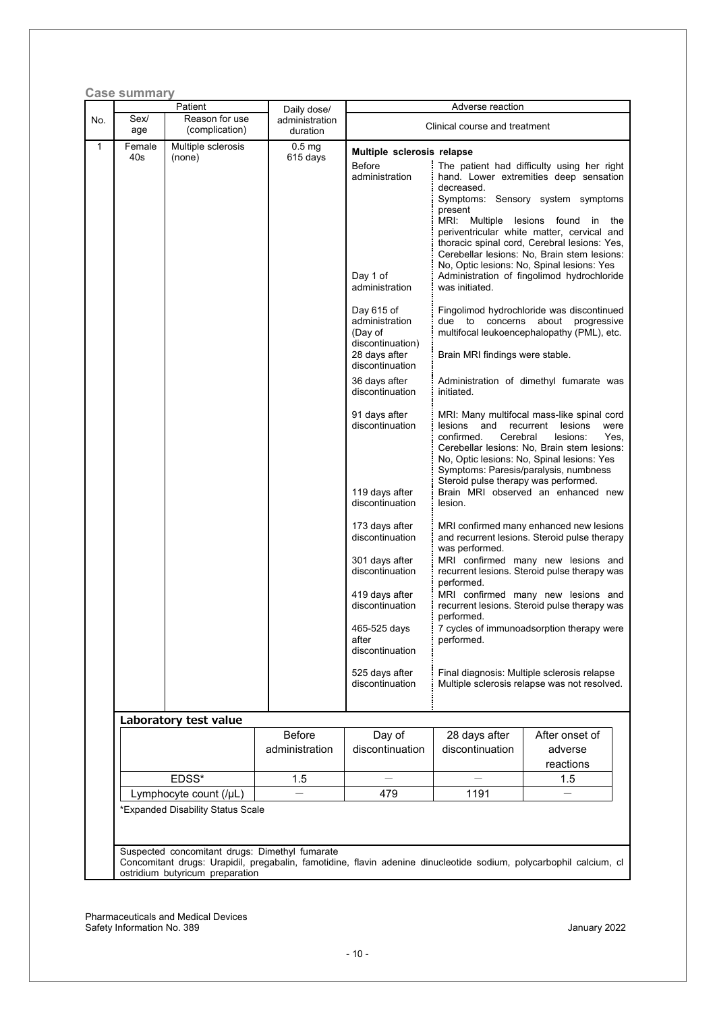|               | Patient                          | Daily dose/                   |                                                                                                 | Adverse reaction                                                                 |                                                                                                                                                                                                                                                                                                                                                    |
|---------------|----------------------------------|-------------------------------|-------------------------------------------------------------------------------------------------|----------------------------------------------------------------------------------|----------------------------------------------------------------------------------------------------------------------------------------------------------------------------------------------------------------------------------------------------------------------------------------------------------------------------------------------------|
| Sex/<br>age   | Reason for use<br>(complication) | administration<br>duration    |                                                                                                 | Clinical course and treatment                                                    |                                                                                                                                                                                                                                                                                                                                                    |
| Female<br>40s | Multiple sclerosis<br>(none)     | 0.5 <sub>mg</sub><br>615 days | Multiple sclerosis relapse                                                                      |                                                                                  |                                                                                                                                                                                                                                                                                                                                                    |
|               |                                  |                               | <b>Before</b><br>administration                                                                 | decreased.<br>present<br>MRI: Multiple                                           | The patient had difficulty using her right<br>hand. Lower extremities deep sensation<br>Symptoms: Sensory system symptoms<br>lesions found<br>in<br>the<br>periventricular white matter, cervical and<br>thoracic spinal cord, Cerebral lesions: Yes,<br>Cerebellar lesions: No, Brain stem lesions:<br>No, Optic lesions: No, Spinal lesions: Yes |
|               |                                  |                               | Day 1 of<br>administration                                                                      | was initiated.                                                                   | Administration of fingolimod hydrochloride                                                                                                                                                                                                                                                                                                         |
|               |                                  |                               | Day 615 of<br>administration<br>(Day of<br>discontinuation)<br>28 days after<br>discontinuation | due to concerns<br>Brain MRI findings were stable.                               | Fingolimod hydrochloride was discontinued<br>about<br>progressive<br>multifocal leukoencephalopathy (PML), etc.                                                                                                                                                                                                                                    |
|               |                                  |                               | 36 days after<br>discontinuation                                                                | Administration of dimethyl fumarate was<br>initiated.                            |                                                                                                                                                                                                                                                                                                                                                    |
|               |                                  |                               | 91 days after<br>discontinuation                                                                | and<br>lesions<br>confirmed.<br>Cerebral<br>Steroid pulse therapy was performed. | MRI: Many multifocal mass-like spinal cord<br>lesions<br>recurrent<br>were<br>lesions:<br>Yes,<br>Cerebellar lesions: No, Brain stem lesions:<br>No, Optic lesions: No, Spinal lesions: Yes<br>Symptoms: Paresis/paralysis, numbness                                                                                                               |
|               |                                  |                               | 119 days after<br>discontinuation                                                               | lesion.                                                                          | Brain MRI observed an enhanced new                                                                                                                                                                                                                                                                                                                 |
|               |                                  |                               | 173 days after<br>discontinuation<br>301 days after                                             | was performed.<br>MRI confirmed many new lesions and                             | MRI confirmed many enhanced new lesions<br>and recurrent lesions. Steroid pulse therapy                                                                                                                                                                                                                                                            |
|               |                                  |                               | discontinuation<br>419 days after                                                               | recurrent lesions. Steroid pulse therapy was<br>performed.                       | MRI confirmed many new lesions and                                                                                                                                                                                                                                                                                                                 |
|               |                                  |                               | discontinuation<br>465-525 days                                                                 | performed.                                                                       | recurrent lesions. Steroid pulse therapy was<br>7 cycles of immunoadsorption therapy were                                                                                                                                                                                                                                                          |
|               |                                  |                               | after<br>discontinuation                                                                        | performed.                                                                       |                                                                                                                                                                                                                                                                                                                                                    |
|               |                                  |                               | 525 days after<br>discontinuation                                                               |                                                                                  | Final diagnosis: Multiple sclerosis relapse<br>Multiple sclerosis relapse was not resolved.                                                                                                                                                                                                                                                        |
|               | Laboratory test value            |                               |                                                                                                 |                                                                                  |                                                                                                                                                                                                                                                                                                                                                    |
|               |                                  | Before                        | Day of                                                                                          | 28 days after                                                                    | After onset of                                                                                                                                                                                                                                                                                                                                     |
|               |                                  | administration                | discontinuation                                                                                 | discontinuation                                                                  | adverse<br>reactions                                                                                                                                                                                                                                                                                                                               |
|               | EDSS*                            | 1.5                           |                                                                                                 |                                                                                  | 1.5                                                                                                                                                                                                                                                                                                                                                |
|               | Lymphocyte count (/µL)           |                               | 479                                                                                             | 1191                                                                             |                                                                                                                                                                                                                                                                                                                                                    |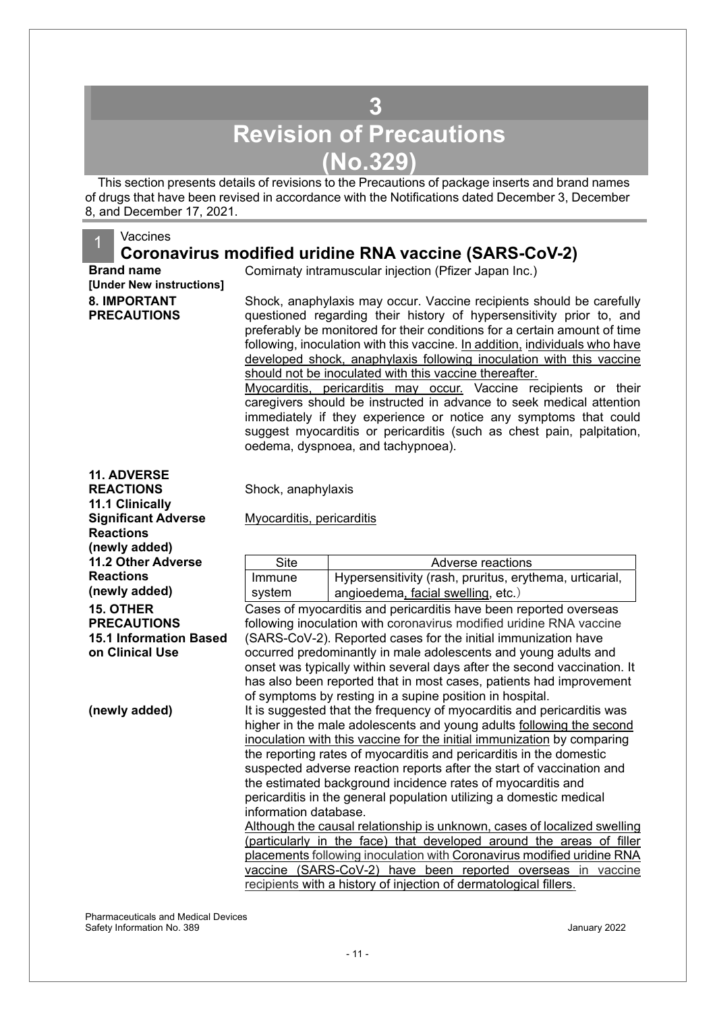## **3 Revision of Precautions (No.329)**

<span id="page-10-0"></span>This section presents details of revisions to the Precautions of package inserts and brand names of drugs that have been revised in accordance with the Notifications dated December 3, December 8, and December 17, 2021.

#### **Vaccines**

### **Coronavirus modified uridine RNA vaccine (SARS-CoV-2)**

**[Under New instructions] 8. IMPORTANT PRECAUTIONS**

**Brand name Comirnaty intramuscular injection (Pfizer Japan Inc.)** 

Shock, anaphylaxis may occur. Vaccine recipients should be carefully questioned regarding their history of hypersensitivity prior to, and preferably be monitored for their conditions for a certain amount of time following, inoculation with this vaccine. In addition, individuals who have developed shock, anaphylaxis following inoculation with this vaccine should not be inoculated with this vaccine thereafter.

Myocarditis, pericarditis may occur. Vaccine recipients or their caregivers should be instructed in advance to seek medical attention immediately if they experience or notice any symptoms that could suggest myocarditis or pericarditis (such as chest pain, palpitation, oedema, dyspnoea, and tachypnoea).

**11. ADVERSE REACTIONS**

**11.1 Clinically** 

Shock, anaphylaxis

| <b>Significant Adverse</b>    | Myocarditis, pericarditis                                           |                                                                          |  |  |  |  |  |
|-------------------------------|---------------------------------------------------------------------|--------------------------------------------------------------------------|--|--|--|--|--|
| <b>Reactions</b>              |                                                                     |                                                                          |  |  |  |  |  |
| (newly added)                 |                                                                     |                                                                          |  |  |  |  |  |
| <b>11.2 Other Adverse</b>     | Site                                                                | Adverse reactions                                                        |  |  |  |  |  |
| <b>Reactions</b>              | Immune                                                              | Hypersensitivity (rash, pruritus, erythema, urticarial,                  |  |  |  |  |  |
| (newly added)                 | system                                                              | angioedema, facial swelling, etc.)                                       |  |  |  |  |  |
| <b>15. OTHER</b>              | Cases of myocarditis and pericarditis have been reported overseas   |                                                                          |  |  |  |  |  |
| <b>PRECAUTIONS</b>            | following inoculation with coronavirus modified uridine RNA vaccine |                                                                          |  |  |  |  |  |
| <b>15.1 Information Based</b> |                                                                     | (SARS-CoV-2). Reported cases for the initial immunization have           |  |  |  |  |  |
| on Clinical Use               | occurred predominantly in male adolescents and young adults and     |                                                                          |  |  |  |  |  |
|                               |                                                                     | onset was typically within several days after the second vaccination. It |  |  |  |  |  |
|                               |                                                                     | has also been reported that in most cases, patients had improvement      |  |  |  |  |  |
|                               |                                                                     | of symptoms by resting in a supine position in hospital.                 |  |  |  |  |  |
| (newly added)                 |                                                                     | It is suggested that the frequency of myocarditis and pericarditis was   |  |  |  |  |  |
|                               |                                                                     | higher in the male adolescents and young adults following the second     |  |  |  |  |  |
|                               |                                                                     | inoculation with this vaccine for the initial immunization by comparing  |  |  |  |  |  |
|                               |                                                                     | the reporting rates of myocarditis and pericarditis in the domestic      |  |  |  |  |  |
|                               |                                                                     | suspected adverse reaction reports after the start of vaccination and    |  |  |  |  |  |
|                               |                                                                     | the estimated background incidence rates of myocarditis and              |  |  |  |  |  |
|                               |                                                                     | pericarditis in the general population utilizing a domestic medical      |  |  |  |  |  |
|                               | information database.                                               |                                                                          |  |  |  |  |  |
|                               |                                                                     | Although the causal relationship is unknown, cases of localized swelling |  |  |  |  |  |
|                               |                                                                     | (particularly in the face) that developed around the areas of filler     |  |  |  |  |  |
|                               |                                                                     | placements following inoculation with Coronavirus modified uridine RNA   |  |  |  |  |  |
|                               | vaccine                                                             | (SARS-CoV-2) have been reported overseas in vaccine                      |  |  |  |  |  |
|                               |                                                                     | recipients with a history of injection of dermatological fillers.        |  |  |  |  |  |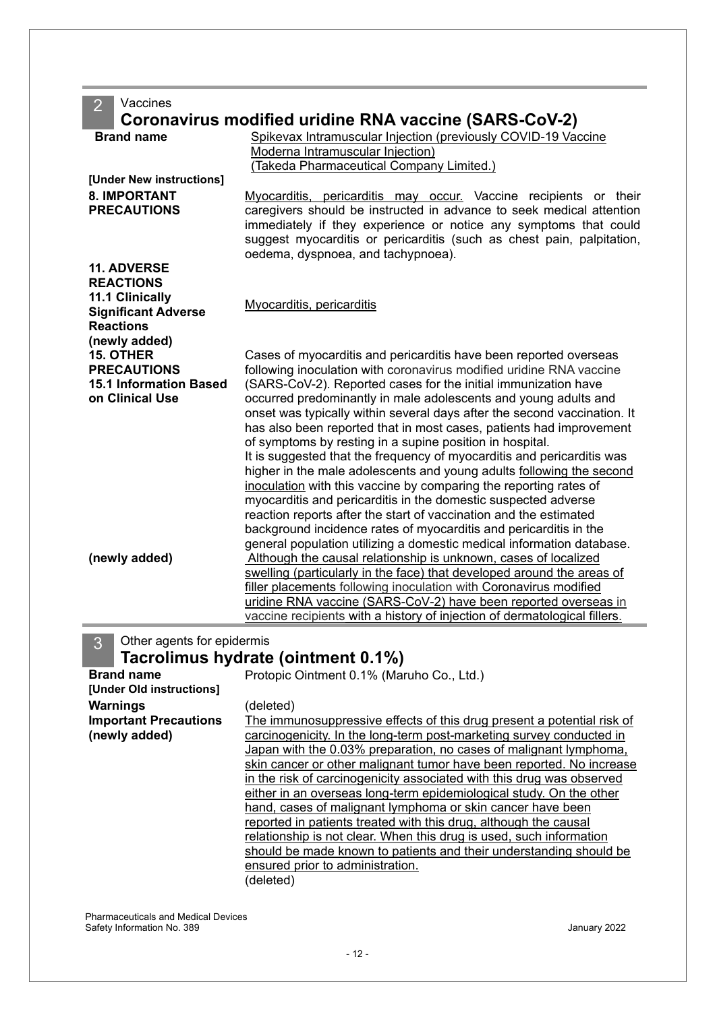2 Vaccines **Coronavirus modified uridine RNA vaccine (SARS-CoV-2)**

|                               | COLOHAVILUS HIOQINIBU UHUMB KIVA VACCINB (SAKS-COV-Z)                     |
|-------------------------------|---------------------------------------------------------------------------|
| <b>Brand name</b>             | Spikevax Intramuscular Injection (previously COVID-19 Vaccine             |
|                               | Moderna Intramuscular Injection)                                          |
|                               | (Takeda Pharmaceutical Company Limited.)                                  |
| [Under New instructions]      |                                                                           |
| <b>8. IMPORTANT</b>           | Myocarditis, pericarditis may occur. Vaccine recipients or their          |
| <b>PRECAUTIONS</b>            | caregivers should be instructed in advance to seek medical attention      |
|                               | immediately if they experience or notice any symptoms that could          |
|                               | suggest myocarditis or pericarditis (such as chest pain, palpitation,     |
|                               | oedema, dyspnoea, and tachypnoea).                                        |
| <b>11. ADVERSE</b>            |                                                                           |
| <b>REACTIONS</b>              |                                                                           |
| 11.1 Clinically               |                                                                           |
| <b>Significant Adverse</b>    | Myocarditis, pericarditis                                                 |
| <b>Reactions</b>              |                                                                           |
| (newly added)                 |                                                                           |
| <b>15. OTHER</b>              | Cases of myocarditis and pericarditis have been reported overseas         |
| <b>PRECAUTIONS</b>            | following inoculation with coronavirus modified uridine RNA vaccine       |
| <b>15.1 Information Based</b> | (SARS-CoV-2). Reported cases for the initial immunization have            |
| on Clinical Use               | occurred predominantly in male adolescents and young adults and           |
|                               | onset was typically within several days after the second vaccination. It  |
|                               | has also been reported that in most cases, patients had improvement       |
|                               | of symptoms by resting in a supine position in hospital.                  |
|                               | It is suggested that the frequency of myocarditis and pericarditis was    |
|                               | higher in the male adolescents and young adults following the second      |
|                               | inoculation with this vaccine by comparing the reporting rates of         |
|                               | myocarditis and pericarditis in the domestic suspected adverse            |
|                               | reaction reports after the start of vaccination and the estimated         |
|                               | background incidence rates of myocarditis and pericarditis in the         |
|                               | general population utilizing a domestic medical information database.     |
| (newly added)                 | Although the causal relationship is unknown, cases of localized           |
|                               | swelling (particularly in the face) that developed around the areas of    |
|                               | filler placements following inoculation with Coronavirus modified         |
|                               | uridine RNA vaccine (SARS-CoV-2) have been reported overseas in           |
|                               | vaccine recipients with a history of injection of dermatological fillers. |
|                               |                                                                           |

3 Other agents for epidermis

### **Tacrolimus hydrate (ointment 0.1%)**

| <b>Brand name</b>            | Protopic Ointment 0.1% (Maruho Co., Ltd.)                              |
|------------------------------|------------------------------------------------------------------------|
| [Under Old instructions]     |                                                                        |
| Warnings                     | (deleted)                                                              |
| <b>Important Precautions</b> | The immunosuppressive effects of this drug present a potential risk of |
| (newly added)                | carcinogenicity. In the long-term post-marketing survey conducted in   |
|                              | Japan with the 0.03% preparation, no cases of malignant lymphoma,      |
|                              | skin cancer or other malignant tumor have been reported. No increase   |
|                              | in the risk of carcinogenicity associated with this drug was observed  |
|                              | either in an overseas long-term epidemiological study. On the other    |
|                              | hand, cases of malignant lymphoma or skin cancer have been             |
|                              | reported in patients treated with this drug, although the causal       |
|                              | relationship is not clear. When this drug is used, such information    |
|                              | should be made known to patients and their understanding should be     |
|                              | ensured prior to administration.                                       |
|                              | (deleted)                                                              |
|                              |                                                                        |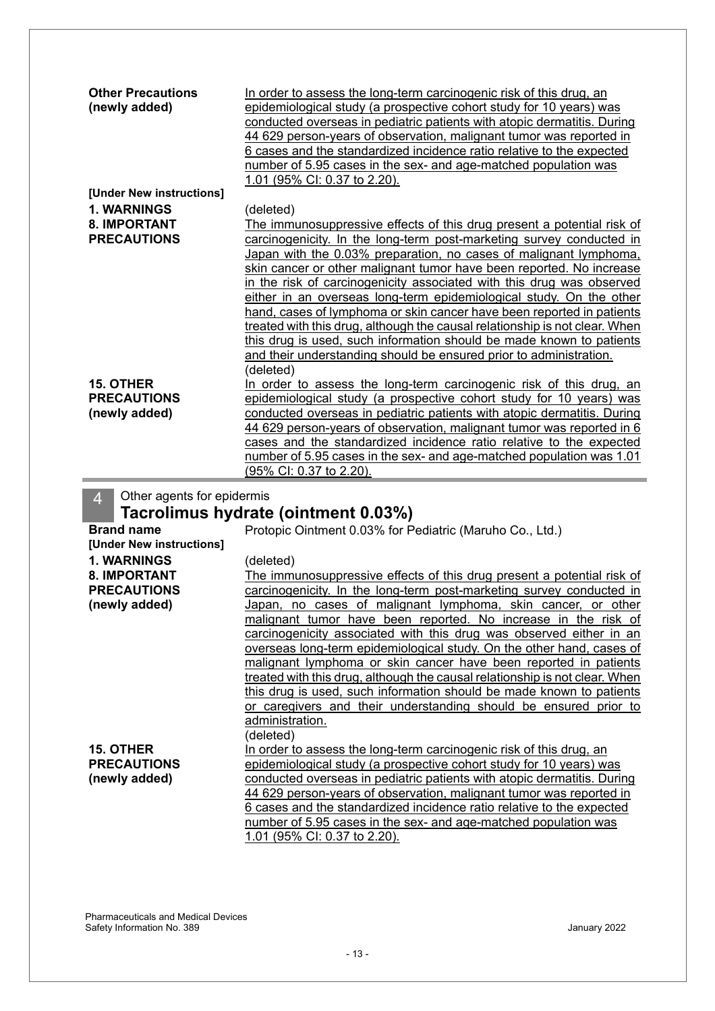| <b>Other Precautions</b><br>(newly added) | In order to assess the long-term carcinogenic risk of this drug, an<br>epidemiological study (a prospective cohort study for 10 years) was<br>conducted overseas in pediatric patients with atopic dermatitis. During<br>44 629 person-years of observation, malignant tumor was reported in<br>6 cases and the standardized incidence ratio relative to the expected |
|-------------------------------------------|-----------------------------------------------------------------------------------------------------------------------------------------------------------------------------------------------------------------------------------------------------------------------------------------------------------------------------------------------------------------------|
|                                           | number of 5.95 cases in the sex- and age-matched population was                                                                                                                                                                                                                                                                                                       |
| [Under New instructions]                  | 1.01 (95% CI: 0.37 to 2.20).                                                                                                                                                                                                                                                                                                                                          |
| <b>1. WARNINGS</b>                        |                                                                                                                                                                                                                                                                                                                                                                       |
| <b>8. IMPORTANT</b>                       | (deleted)                                                                                                                                                                                                                                                                                                                                                             |
| <b>PRECAUTIONS</b>                        | The immunosuppressive effects of this drug present a potential risk of<br>carcinogenicity. In the long-term post-marketing survey conducted in                                                                                                                                                                                                                        |
|                                           | Japan with the 0.03% preparation, no cases of malignant lymphoma,                                                                                                                                                                                                                                                                                                     |
|                                           | skin cancer or other malignant tumor have been reported. No increase                                                                                                                                                                                                                                                                                                  |
|                                           | in the risk of carcinogenicity associated with this drug was observed                                                                                                                                                                                                                                                                                                 |
|                                           | either in an overseas long-term epidemiological study. On the other                                                                                                                                                                                                                                                                                                   |
|                                           | hand, cases of lymphoma or skin cancer have been reported in patients                                                                                                                                                                                                                                                                                                 |
|                                           | treated with this drug, although the causal relationship is not clear. When                                                                                                                                                                                                                                                                                           |
|                                           | this drug is used, such information should be made known to patients                                                                                                                                                                                                                                                                                                  |
|                                           | and their understanding should be ensured prior to administration.                                                                                                                                                                                                                                                                                                    |
|                                           | (deleted)                                                                                                                                                                                                                                                                                                                                                             |
| <b>15. OTHER</b>                          | In order to assess the long-term carcinogenic risk of this drug, an                                                                                                                                                                                                                                                                                                   |
| <b>PRECAUTIONS</b>                        | epidemiological study (a prospective cohort study for 10 years) was                                                                                                                                                                                                                                                                                                   |
| (newly added)                             | conducted overseas in pediatric patients with atopic dermatitis. During                                                                                                                                                                                                                                                                                               |
|                                           | 44 629 person-years of observation, malignant tumor was reported in 6                                                                                                                                                                                                                                                                                                 |
|                                           | cases and the standardized incidence ratio relative to the expected                                                                                                                                                                                                                                                                                                   |
|                                           | number of 5.95 cases in the sex- and age-matched population was 1.01                                                                                                                                                                                                                                                                                                  |
|                                           | (95% CI: 0.37 to 2.20).                                                                                                                                                                                                                                                                                                                                               |
| Other agents for epidermis<br>4           |                                                                                                                                                                                                                                                                                                                                                                       |

### **Tacrolimus hydrate (ointment 0.03%)**

| Tacrolimus hydrate (ointment 0.03%) |                                                                             |  |
|-------------------------------------|-----------------------------------------------------------------------------|--|
| <b>Brand name</b>                   | Protopic Ointment 0.03% for Pediatric (Maruho Co., Ltd.)                    |  |
| [Under New instructions]            |                                                                             |  |
| <b>1. WARNINGS</b>                  | (deleted)                                                                   |  |
| <b>8. IMPORTANT</b>                 | The immunosuppressive effects of this drug present a potential risk of      |  |
| <b>PRECAUTIONS</b>                  | carcinogenicity. In the long-term post-marketing survey conducted in        |  |
| (newly added)                       | Japan, no cases of malignant lymphoma, skin cancer, or other                |  |
|                                     | malignant tumor have been reported. No increase in the risk of              |  |
|                                     | carcinogenicity associated with this drug was observed either in an         |  |
|                                     | overseas long-term epidemiological study. On the other hand, cases of       |  |
|                                     | malignant lymphoma or skin cancer have been reported in patients            |  |
|                                     | treated with this drug, although the causal relationship is not clear. When |  |
|                                     | this drug is used, such information should be made known to patients        |  |
|                                     | or caregivers and their understanding should be ensured prior to            |  |
|                                     | administration.                                                             |  |
|                                     | (deleted)                                                                   |  |
| <b>15. OTHER</b>                    | In order to assess the long-term carcinogenic risk of this drug, an         |  |
| <b>PRECAUTIONS</b>                  | epidemiological study (a prospective cohort study for 10 years) was         |  |
| (newly added)                       | conducted overseas in pediatric patients with atopic dermatitis. During     |  |
|                                     | 44 629 person-years of observation, malignant tumor was reported in         |  |
|                                     | 6 cases and the standardized incidence ratio relative to the expected       |  |
|                                     | number of 5.95 cases in the sex- and age-matched population was             |  |
|                                     | 1.01 (95% CI: 0.37 to 2.20).                                                |  |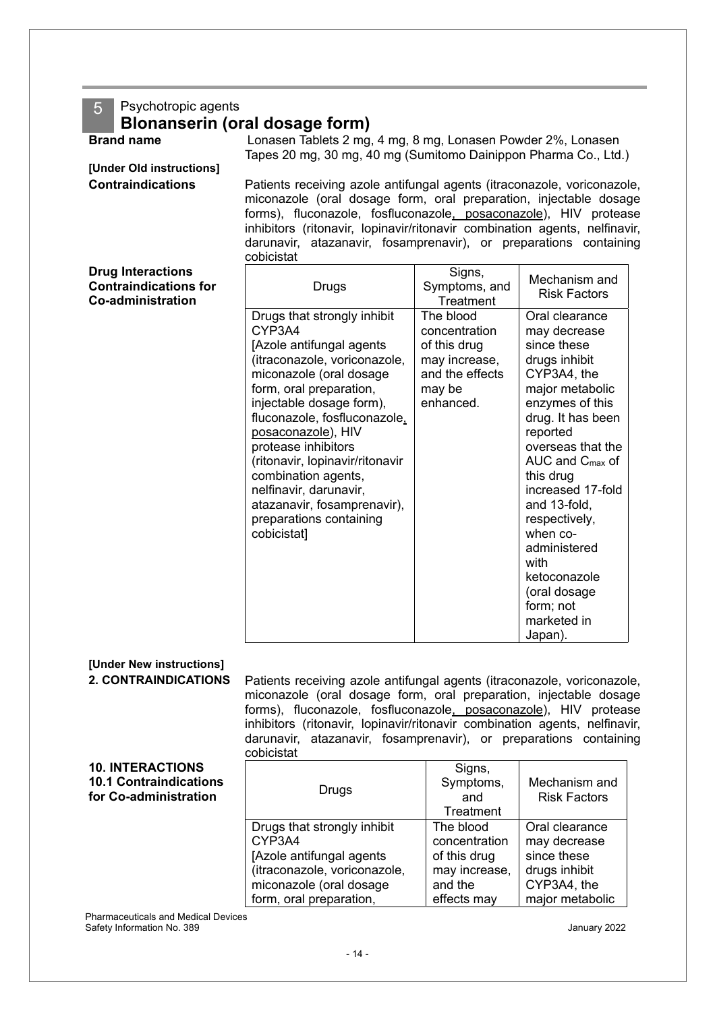### 5 Psychotropic agents

### **Blonanserin (oral dosage form)**

**Brand name** Lonasen Tablets 2 mg, 4 mg, 8 mg, Lonasen Powder 2%, Lonasen Tapes 20 mg, 30 mg, 40 mg (Sumitomo Dainippon Pharma Co., Ltd.)

**[Under Old instructions]**

**Contraindications** Patients receiving azole antifungal agents (itraconazole, voriconazole, miconazole (oral dosage form, oral preparation, injectable dosage forms), fluconazole, fosfluconazole, posaconazole), HIV protease inhibitors (ritonavir, lopinavir/ritonavir combination agents, nelfinavir, darunavir, atazanavir, fosamprenavir), or preparations containing cobicistat

| <b>Drug Interactions</b><br><b>Contraindications for</b><br><b>Co-administration</b> | Drugs                                                                                                                                                                                                                                                                                                                                                                                                                         | Signs,<br>Symptoms, and<br>Treatment                                                                  | Mechanism and<br><b>Risk Factors</b>                                                                                                                                                                                                                                                                                                                                                   |
|--------------------------------------------------------------------------------------|-------------------------------------------------------------------------------------------------------------------------------------------------------------------------------------------------------------------------------------------------------------------------------------------------------------------------------------------------------------------------------------------------------------------------------|-------------------------------------------------------------------------------------------------------|----------------------------------------------------------------------------------------------------------------------------------------------------------------------------------------------------------------------------------------------------------------------------------------------------------------------------------------------------------------------------------------|
|                                                                                      | Drugs that strongly inhibit<br>CYP3A4<br>[Azole antifungal agents<br>(itraconazole, voriconazole,<br>miconazole (oral dosage<br>form, oral preparation,<br>injectable dosage form),<br>fluconazole, fosfluconazole,<br>posaconazole), HIV<br>protease inhibitors<br>(ritonavir, lopinavir/ritonavir<br>combination agents,<br>nelfinavir, darunavir,<br>atazanavir, fosamprenavir),<br>preparations containing<br>cobicistat] | The blood<br>concentration<br>of this drug<br>may increase,<br>and the effects<br>may be<br>enhanced. | Oral clearance<br>may decrease<br>since these<br>drugs inhibit<br>CYP3A4, the<br>major metabolic<br>enzymes of this<br>drug. It has been<br>reported<br>overseas that the<br>AUC and $C_{\text{max}}$ of<br>this drug<br>increased 17-fold<br>and 13-fold,<br>respectively,<br>when co-<br>administered<br>with<br>ketoconazole<br>(oral dosage<br>form; not<br>marketed in<br>Japan). |

#### **[Under New instructions] 2. CONTRAINDICATIONS** Patients receiving azole antifungal agents (itraconazole, voriconazole, miconazole (oral dosage form, oral preparation, injectable dosage forms), fluconazole, fosfluconazole, posaconazole), HIV protease inhibitors (ritonavir, lopinavir/ritonavir combination agents, nelfinavir, darunavir, atazanavir, fosamprenavir), or preparations containing cobicistat **10. INTERACTIONS 10.1 Contraindications for Co-administration** Drugs Signs, Symptoms, and **Treatment** Mechanism and Risk Factors

The blood concentration of this drug may increase, and the effects may

Drugs that strongly inhibit

[Azole antifungal agents (itraconazole, voriconazole, miconazole (oral dosage

CYP3A4

Pharmaceuticals and Medical Devices Safety Information No. 389 January 2022 form, oral preparation,

Oral clearance may decrease since these drugs inhibit CYP3A4, the major metabolic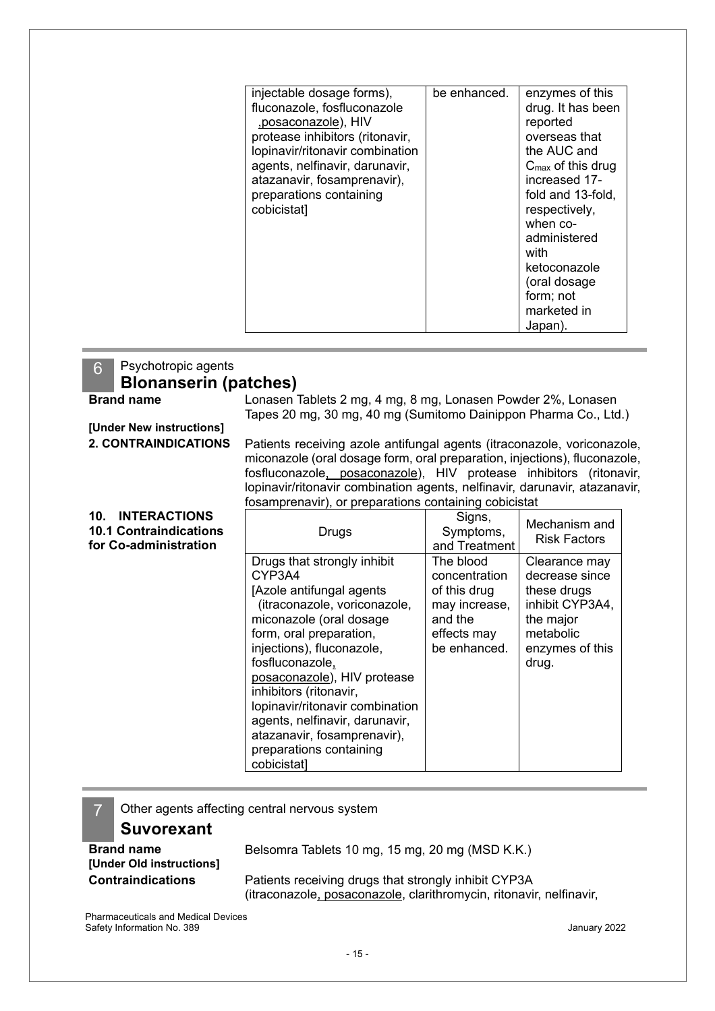| injectable dosage forms),<br>fluconazole, fosfluconazole<br>,posaconazole), HIV<br>protease inhibitors (ritonavir,<br>lopinavir/ritonavir combination<br>agents, nelfinavir, darunavir,<br>atazanavir, fosamprenavir),<br>preparations containing<br>cobicistat] | be enhanced. | enzymes of this<br>drug. It has been<br>reported<br>overseas that<br>the AUC and<br>$C_{\text{max}}$ of this drug<br>increased 17-<br>fold and 13-fold,<br>respectively,<br>when co-<br>administered<br>with<br>ketoconazole<br>(oral dosage |
|------------------------------------------------------------------------------------------------------------------------------------------------------------------------------------------------------------------------------------------------------------------|--------------|----------------------------------------------------------------------------------------------------------------------------------------------------------------------------------------------------------------------------------------------|
|                                                                                                                                                                                                                                                                  |              |                                                                                                                                                                                                                                              |
|                                                                                                                                                                                                                                                                  |              | form; not                                                                                                                                                                                                                                    |
|                                                                                                                                                                                                                                                                  |              | marketed in                                                                                                                                                                                                                                  |
|                                                                                                                                                                                                                                                                  |              | Japan).                                                                                                                                                                                                                                      |

#### 6 Psychotropic agents **Blonanserin (patches) Brand name** Lonasen Tablets 2 mg, 4 mg, 8 mg, Lonasen Powder 2%, Lonasen Tapes 20 mg, 30 mg, 40 mg (Sumitomo Dainippon Pharma Co., Ltd.) **[Under New instructions] 2. CONTRAINDICATIONS** Patients receiving azole antifungal agents (itraconazole, voriconazole, miconazole (oral dosage form, oral preparation, injections), fluconazole, fosfluconazole, posaconazole), HIV protease inhibitors (ritonavir, lopinavir/ritonavir combination agents, nelfinavir, darunavir, atazanavir, fosamprenavir), or preparations containing cobicistat **10. INTERACTIONS 10.1 Contraindications for Co-administration**  Drugs Signs, Symptoms, and Treatment Mechanism and Risk Factors Drugs that strongly inhibit CYP3A4 [Azole antifungal agents (itraconazole, voriconazole, miconazole (oral dosage form, oral preparation, injections), fluconazole, fosfluconazole, posaconazole), HIV protease inhibitors (ritonavir, lopinavir/ritonavir combination agents, nelfinavir, darunavir, atazanavir, fosamprenavir), preparations containing cobicistat] The blood concentration of this drug may increase, and the effects may be enhanced. Clearance may decrease since these drugs inhibit CYP3A4, the major metabolic enzymes of this drug.

Other agents affecting central nervous system

### **Suvorexant**

**[Under Old instructions]**

**Brand name** Belsomra Tablets 10 mg, 15 mg, 20 mg (MSD K.K.) **Contraindications** Patients receiving drugs that strongly inhibit CYP3A (itraconazole, posaconazole, clarithromycin, ritonavir, nelfinavir,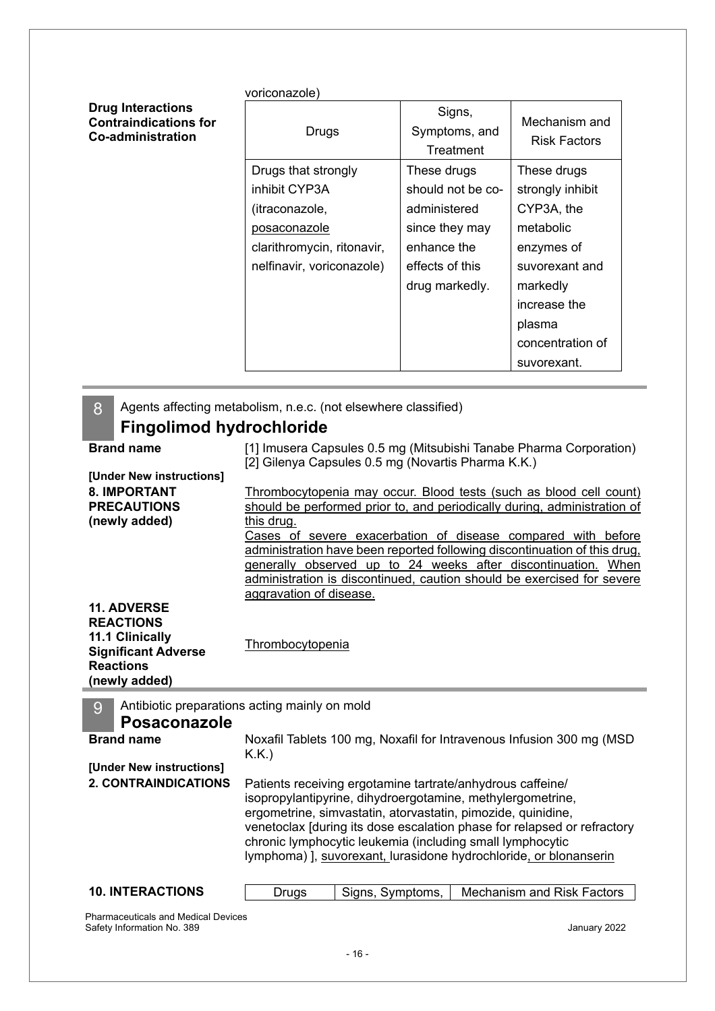|                                                                                      | voriconazole)              |                                      |                                      |
|--------------------------------------------------------------------------------------|----------------------------|--------------------------------------|--------------------------------------|
| <b>Drug Interactions</b><br><b>Contraindications for</b><br><b>Co-administration</b> | Drugs                      | Signs,<br>Symptoms, and<br>Treatment | Mechanism and<br><b>Risk Factors</b> |
|                                                                                      | Drugs that strongly        | These drugs                          | These drugs                          |
|                                                                                      | inhibit CYP3A              | should not be co-                    | strongly inhibit                     |
|                                                                                      | (itraconazole,             | administered                         | CYP3A, the                           |
|                                                                                      | posaconazole               | since they may                       | metabolic                            |
|                                                                                      | clarithromycin, ritonavir, | enhance the                          | enzymes of                           |
|                                                                                      | nelfinavir, voriconazole)  | effects of this                      | suvorexant and                       |
|                                                                                      |                            | drug markedly.                       | markedly                             |
|                                                                                      |                            |                                      | increase the                         |
|                                                                                      |                            |                                      | plasma                               |
|                                                                                      |                            |                                      | concentration of                     |
|                                                                                      |                            |                                      | suvorexant.                          |

| 8 | Agents affecting metabolism, n.e.c. (not elsewhere classified) |                                                                                                                                                |  |  |  |
|---|----------------------------------------------------------------|------------------------------------------------------------------------------------------------------------------------------------------------|--|--|--|
|   | <b>Fingolimod hydrochloride</b>                                |                                                                                                                                                |  |  |  |
|   | <b>Brand name</b>                                              | [1] Imusera Capsules 0.5 mg (Mitsubishi Tanabe Pharma Corporation)                                                                             |  |  |  |
|   |                                                                | [2] Gilenya Capsules 0.5 mg (Novartis Pharma K.K.)                                                                                             |  |  |  |
|   | [Under New instructions]<br><b>8. IMPORTANT</b>                |                                                                                                                                                |  |  |  |
|   | <b>PRECAUTIONS</b>                                             | Thrombocytopenia may occur. Blood tests (such as blood cell count)<br>should be performed prior to, and periodically during, administration of |  |  |  |
|   | (newly added)                                                  | this drug.                                                                                                                                     |  |  |  |
|   |                                                                | Cases of severe exacerbation of disease compared with before                                                                                   |  |  |  |
|   |                                                                | administration have been reported following discontinuation of this drug,                                                                      |  |  |  |
|   |                                                                | generally observed up to 24 weeks after discontinuation. When                                                                                  |  |  |  |
|   |                                                                | administration is discontinued, caution should be exercised for severe<br>aggravation of disease.                                              |  |  |  |
|   | <b>11. ADVERSE</b>                                             |                                                                                                                                                |  |  |  |
|   | <b>REACTIONS</b>                                               |                                                                                                                                                |  |  |  |
|   | 11.1 Clinically                                                | Thrombocytopenia                                                                                                                               |  |  |  |
|   | <b>Significant Adverse</b>                                     |                                                                                                                                                |  |  |  |
|   | <b>Reactions</b>                                               |                                                                                                                                                |  |  |  |
|   | (newly added)                                                  |                                                                                                                                                |  |  |  |
|   |                                                                |                                                                                                                                                |  |  |  |
| 9 |                                                                | Antibiotic preparations acting mainly on mold                                                                                                  |  |  |  |
|   | <b>Posaconazole</b>                                            |                                                                                                                                                |  |  |  |
|   | <b>Brand name</b>                                              | Noxafil Tablets 100 mg, Noxafil for Intravenous Infusion 300 mg (MSD                                                                           |  |  |  |
|   |                                                                | K.K.                                                                                                                                           |  |  |  |
|   | [Under New instructions]                                       |                                                                                                                                                |  |  |  |
|   | <b>2. CONTRAINDICATIONS</b>                                    | Patients receiving ergotamine tartrate/anhydrous caffeine/                                                                                     |  |  |  |
|   |                                                                | isopropylantipyrine, dihydroergotamine, methylergometrine,<br>ergometrine, simvastatin, atorvastatin, pimozide, quinidine,                     |  |  |  |
|   |                                                                | venetoclax [during its dose escalation phase for relapsed or refractory                                                                        |  |  |  |
|   |                                                                | chronic lymphocytic leukemia (including small lymphocytic                                                                                      |  |  |  |
|   |                                                                | lymphoma) ], suvorexant, lurasidone hydrochloride, or blonanserin                                                                              |  |  |  |
|   |                                                                |                                                                                                                                                |  |  |  |
|   | <b>10. INTERACTIONS</b>                                        | <b>Mechanism and Risk Factors</b><br>Signs, Symptoms,<br>Drugs                                                                                 |  |  |  |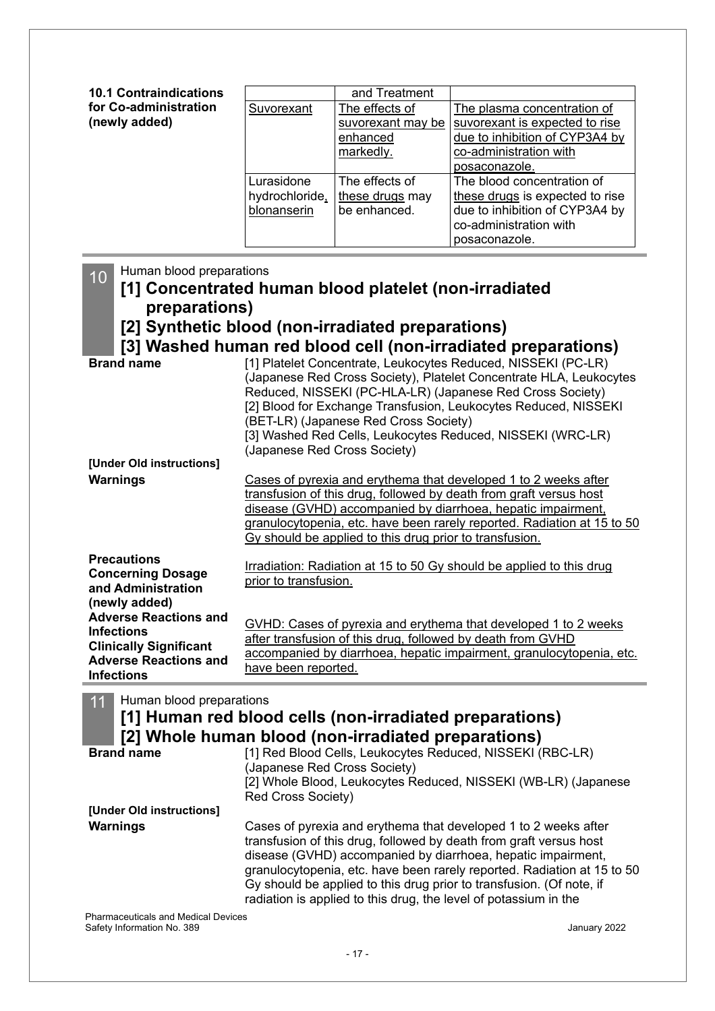| <b>10.1 Contraindications</b>          |                                             | and Treatment                                                |                                                                                                                                                             |
|----------------------------------------|---------------------------------------------|--------------------------------------------------------------|-------------------------------------------------------------------------------------------------------------------------------------------------------------|
| for Co-administration<br>(newly added) | Suvorexant                                  | The effects of<br>suvorexant may be<br>enhanced<br>markedly. | The plasma concentration of<br>suvorexant is expected to rise<br>due to inhibition of CYP3A4 by<br>co-administration with                                   |
|                                        | Lurasidone<br>hydrochloride,<br>blonanserin | The effects of<br>these drugs may<br>be enhanced.            | posaconazole.<br>The blood concentration of<br>these drugs is expected to rise<br>due to inhibition of CYP3A4 by<br>co-administration with<br>posaconazole. |

10 Human blood preparations

### **[1] Concentrated human blood platelet (non-irradiated preparations)**

**[2] Synthetic blood (non-irradiated preparations)**

**[3] Washed human red blood cell (non-irradiated preparations)**

| <b>Brand name</b>                                                                                                                       | [1] Platelet Concentrate, Leukocytes Reduced, NISSEKI (PC-LR)<br>(Japanese Red Cross Society), Platelet Concentrate HLA, Leukocytes<br>Reduced, NISSEKI (PC-HLA-LR) (Japanese Red Cross Society)<br>[2] Blood for Exchange Transfusion, Leukocytes Reduced, NISSEKI<br>(BET-LR) (Japanese Red Cross Society)<br>[3] Washed Red Cells, Leukocytes Reduced, NISSEKI (WRC-LR)<br>(Japanese Red Cross Society) |
|-----------------------------------------------------------------------------------------------------------------------------------------|------------------------------------------------------------------------------------------------------------------------------------------------------------------------------------------------------------------------------------------------------------------------------------------------------------------------------------------------------------------------------------------------------------|
| [Under Old instructions]                                                                                                                |                                                                                                                                                                                                                                                                                                                                                                                                            |
| <b>Warnings</b>                                                                                                                         | Cases of pyrexia and erythema that developed 1 to 2 weeks after<br>transfusion of this drug, followed by death from graft versus host<br>disease (GVHD) accompanied by diarrhoea, hepatic impairment,<br>granulocytopenia, etc. have been rarely reported. Radiation at 15 to 50<br>Gy should be applied to this drug prior to transfusion.                                                                |
| <b>Precautions</b><br><b>Concerning Dosage</b><br>and Administration<br>(newly added)                                                   | Irradiation: Radiation at 15 to 50 Gy should be applied to this drug<br>prior to transfusion.                                                                                                                                                                                                                                                                                                              |
| <b>Adverse Reactions and</b><br><b>Infections</b><br><b>Clinically Significant</b><br><b>Adverse Reactions and</b><br><b>Infections</b> | GVHD: Cases of pyrexia and erythema that developed 1 to 2 weeks<br>after transfusion of this drug, followed by death from GVHD<br>accompanied by diarrhoea, hepatic impairment, granulocytopenia, etc.<br>have been reported.                                                                                                                                                                              |

11 Human blood preparations

## **[1] Human red blood cells (non-irradiated preparations)**

|                                     | [2] Whole human blood (non-irradiated preparations)                                                                                                                                                                                                                                                                                                                                                                          |  |  |  |
|-------------------------------------|------------------------------------------------------------------------------------------------------------------------------------------------------------------------------------------------------------------------------------------------------------------------------------------------------------------------------------------------------------------------------------------------------------------------------|--|--|--|
| <b>Brand name</b>                   | [1] Red Blood Cells, Leukocytes Reduced, NISSEKI (RBC-LR)<br>(Japanese Red Cross Society)<br>[2] Whole Blood, Leukocytes Reduced, NISSEKI (WB-LR) (Japanese<br>Red Cross Society)                                                                                                                                                                                                                                            |  |  |  |
| [Under Old instructions]            |                                                                                                                                                                                                                                                                                                                                                                                                                              |  |  |  |
| <b>Warnings</b>                     | Cases of pyrexia and erythema that developed 1 to 2 weeks after<br>transfusion of this drug, followed by death from graft versus host<br>disease (GVHD) accompanied by diarrhoea, hepatic impairment,<br>granulocytopenia, etc. have been rarely reported. Radiation at 15 to 50<br>Gy should be applied to this drug prior to transfusion. (Of note, if<br>radiation is applied to this drug, the level of potassium in the |  |  |  |
| Pharmacauticale and Madical Devicee |                                                                                                                                                                                                                                                                                                                                                                                                                              |  |  |  |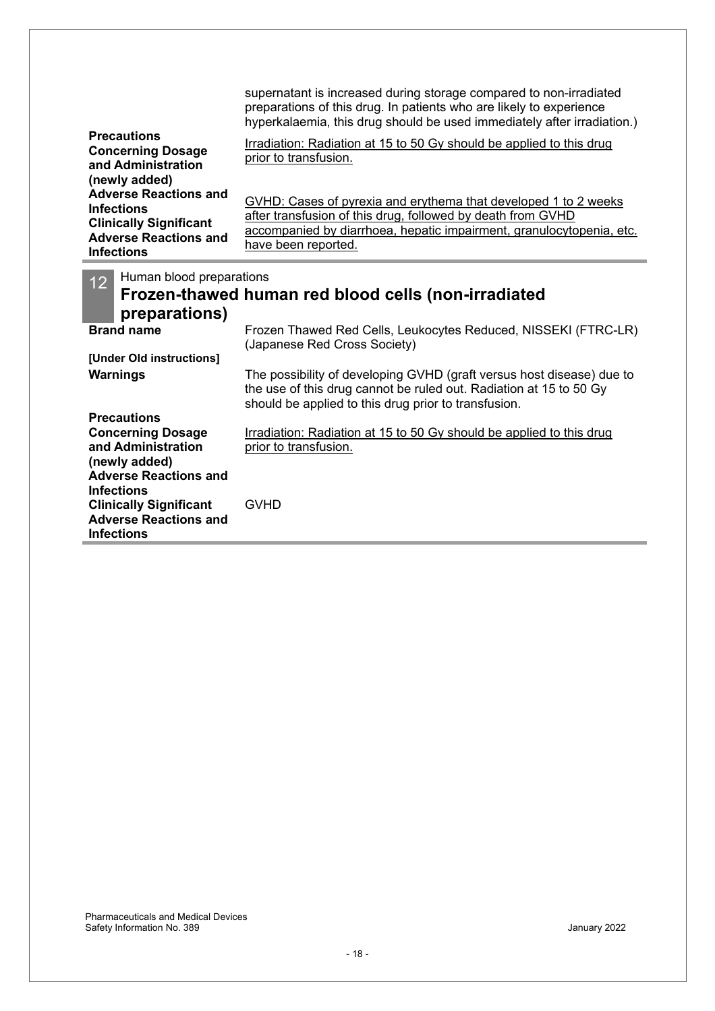| <b>Precautions</b><br><b>Concerning Dosage</b><br>and Administration<br>(newly added)                                                   | supernatant is increased during storage compared to non-irradiated<br>preparations of this drug. In patients who are likely to experience<br>hyperkalaemia, this drug should be used immediately after irradiation.)<br>Irradiation: Radiation at 15 to 50 Gy should be applied to this drug<br>prior to transfusion. |
|-----------------------------------------------------------------------------------------------------------------------------------------|-----------------------------------------------------------------------------------------------------------------------------------------------------------------------------------------------------------------------------------------------------------------------------------------------------------------------|
| <b>Adverse Reactions and</b><br><b>Infections</b><br><b>Clinically Significant</b><br><b>Adverse Reactions and</b><br><b>Infections</b> | GVHD: Cases of pyrexia and erythema that developed 1 to 2 weeks<br>after transfusion of this drug, followed by death from GVHD<br>accompanied by diarrhoea, hepatic impairment, granulocytopenia, etc.<br>have been reported.                                                                                         |
| Human blood preparations<br>12 <sup>°</sup><br>preparations)                                                                            | Frozen-thawed human red blood cells (non-irradiated                                                                                                                                                                                                                                                                   |
| <b>Brand name</b>                                                                                                                       | Frozen Thawed Red Cells, Leukocytes Reduced, NISSEKI (FTRC-LR)<br>(Japanese Red Cross Society)                                                                                                                                                                                                                        |
| [Under Old instructions]<br>Warnings                                                                                                    | The possibility of developing GVHD (graft versus host disease) due to<br>the use of this drug cannot be ruled out. Radiation at 15 to 50 Gy<br>should be applied to this drug prior to transfusion.                                                                                                                   |
| <b>Precautions</b><br><b>Concerning Dosage</b><br>and Administration<br>(newly added)                                                   | Irradiation: Radiation at 15 to 50 Gy should be applied to this drug<br>prior to transfusion.                                                                                                                                                                                                                         |
| <b>Adverse Reactions and</b><br><b>Infections</b><br><b>Clinically Significant</b><br><b>Adverse Reactions and</b><br><b>Infections</b> | <b>GVHD</b>                                                                                                                                                                                                                                                                                                           |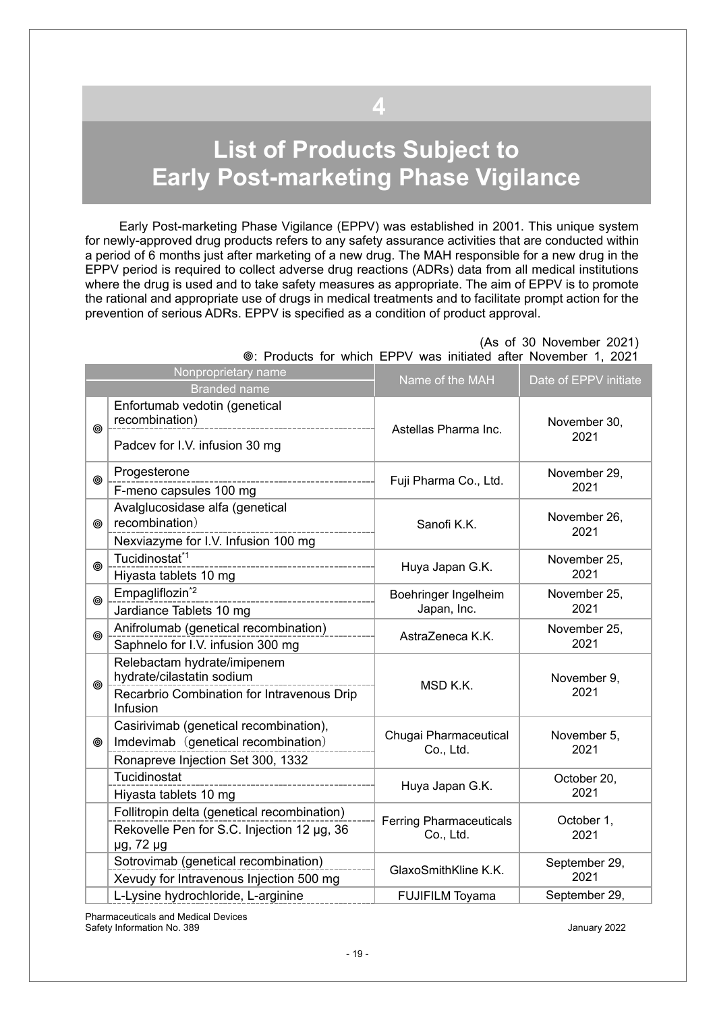# <span id="page-18-0"></span>**List of Products Subject to Early Post-marketing Phase Vigilance**

**4**

Early Post-marketing Phase Vigilance (EPPV) was established in 2001. This unique system for newly-approved drug products refers to any safety assurance activities that are conducted within a period of 6 months just after marketing of a new drug. The MAH responsible for a new drug in the EPPV period is required to collect adverse drug reactions (ADRs) data from all medical institutions where the drug is used and to take safety measures as appropriate. The aim of EPPV is to promote the rational and appropriate use of drugs in medical treatments and to facilitate prompt action for the prevention of serious ADRs. EPPV is specified as a condition of product approval.

|            |                                                                                                                             | $1000000$ TV. We have a way immediately alternately interval interval in |                       |
|------------|-----------------------------------------------------------------------------------------------------------------------------|--------------------------------------------------------------------------|-----------------------|
|            | Nonproprietary name<br><b>Branded name</b>                                                                                  | Name of the MAH                                                          | Date of EPPV initiate |
| ◎          | Enfortumab vedotin (genetical<br>recombination)<br>______________________________________<br>Padcev for I.V. infusion 30 mg | Astellas Pharma Inc.                                                     | November 30,<br>2021  |
| ◎          | Progesterone<br>F-meno capsules 100 mg                                                                                      | Fuji Pharma Co., Ltd.                                                    | November 29,<br>2021  |
| ◎          | Avalglucosidase alfa (genetical<br>recombination)<br>Nexviazyme for I.V. Infusion 100 mg                                    | Sanofi K.K.                                                              | November 26,<br>2021  |
| ⊚          | Tucidinostat <sup>*1</sup><br>Hiyasta tablets 10 mg                                                                         | Huya Japan G.K.                                                          | November 25,<br>2021  |
| $^{\circ}$ | Empagliflozin <sup>*2</sup><br>------------------<br>Jardiance Tablets 10 mg                                                | Boehringer Ingelheim<br>Japan, Inc.                                      | November 25,<br>2021  |
| ◎          | Anifrolumab (genetical recombination)<br>Saphnelo for I.V. infusion 300 mg                                                  | AstraZeneca K.K.                                                         | November 25,<br>2021  |
| ◎          | Relebactam hydrate/imipenem<br>hydrate/cilastatin sodium<br>Recarbrio Combination for Intravenous Drip<br>Infusion          | MSD K.K.                                                                 | November 9,<br>2021   |
| ◉          | Casirivimab (genetical recombination),<br>Imdevimab (genetical recombination)<br>Ronapreve Injection Set 300, 1332          | Chugai Pharmaceutical<br>Co., Ltd.                                       | November 5,<br>2021   |
|            | Tucidinostat<br>Hiyasta tablets 10 mg                                                                                       | Huya Japan G.K.                                                          | October 20,<br>2021   |
|            | Follitropin delta (genetical recombination)<br>Rekovelle Pen for S.C. Injection 12 µg, 36<br>µg, 72 µg                      | <b>Ferring Pharmaceuticals</b><br>Co., Ltd.                              | October 1,<br>2021    |
|            | Sotrovimab (genetical recombination)<br>Xevudy for Intravenous Injection 500 mg                                             | GlaxoSmithKline K.K.                                                     | September 29,<br>2021 |
|            | L-Lysine hydrochloride, L-arginine                                                                                          | <b>FUJIFILM Toyama</b>                                                   | September 29,         |

 (As of 30 November 2021) : Products for which EPPV was initiated after November 1, 2021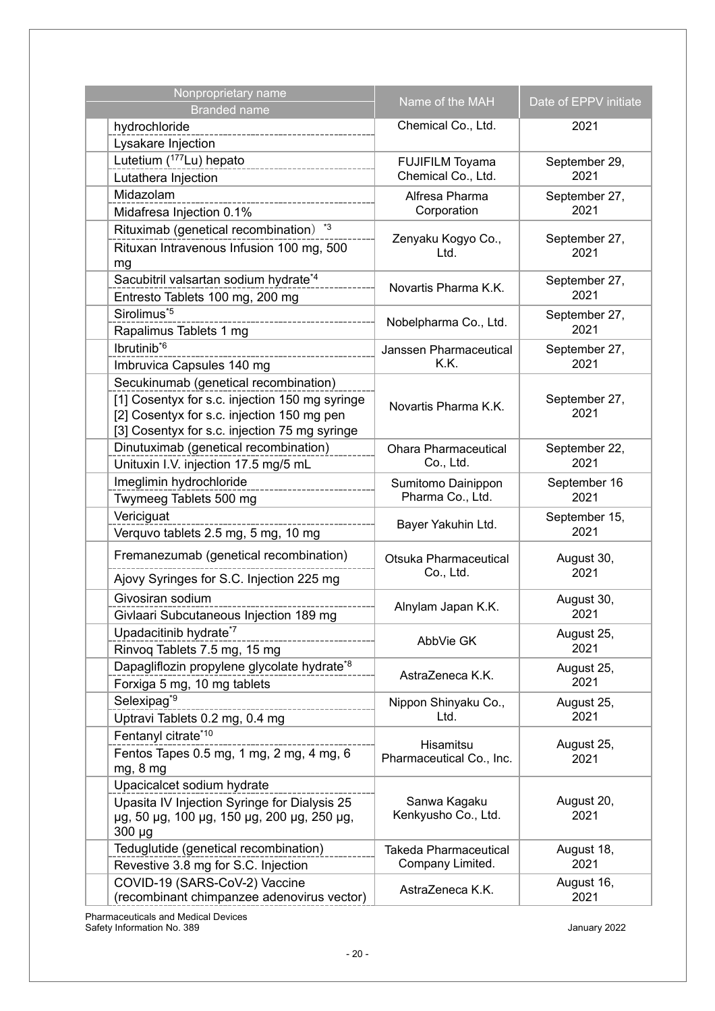| Nonproprietary name<br><b>Branded name</b> |                                                                                             | Name of the MAH                           | Date of EPPV initiate |
|--------------------------------------------|---------------------------------------------------------------------------------------------|-------------------------------------------|-----------------------|
| hydrochloride                              |                                                                                             | Chemical Co., Ltd.                        | 2021                  |
| Lysakare Injection                         |                                                                                             |                                           |                       |
| Lutetium (177Lu) hepato                    |                                                                                             | <b>FUJIFILM Toyama</b>                    | September 29,         |
| Lutathera Injection                        |                                                                                             | Chemical Co., Ltd.                        | 2021                  |
| Midazolam                                  |                                                                                             | Alfresa Pharma                            | September 27,         |
| Midafresa Injection 0.1%                   |                                                                                             | Corporation                               | 2021                  |
|                                            | Rituximab (genetical recombination) *3                                                      |                                           |                       |
|                                            | Rituxan Intravenous Infusion 100 mg, 500                                                    | Zenyaku Kogyo Co.,<br>Ltd.                | September 27,<br>2021 |
| mg                                         |                                                                                             |                                           |                       |
|                                            | Sacubitril valsartan sodium hydrate*4                                                       | Novartis Pharma K.K.                      | September 27,         |
|                                            | Entresto Tablets 100 mg, 200 mg                                                             |                                           | 2021                  |
| Sirolimus <sup>*5</sup>                    |                                                                                             | Nobelpharma Co., Ltd.                     | September 27,         |
| Rapalimus Tablets 1 mg                     |                                                                                             |                                           | 2021                  |
| Ibrutinib <sup>*6</sup>                    |                                                                                             | Janssen Pharmaceutical                    | September 27,         |
|                                            | Imbruvica Capsules 140 mg                                                                   | K.K.                                      | 2021                  |
|                                            | Secukinumab (genetical recombination)                                                       |                                           |                       |
|                                            | [1] Cosentyx for s.c. injection 150 mg syringe                                              | Novartis Pharma K.K.                      | September 27,<br>2021 |
|                                            | [2] Cosentyx for s.c. injection 150 mg pen<br>[3] Cosentyx for s.c. injection 75 mg syringe |                                           |                       |
|                                            | Dinutuximab (genetical recombination)                                                       | <b>Ohara Pharmaceutical</b>               | September 22,         |
|                                            | Unituxin I.V. injection 17.5 mg/5 mL                                                        | Co., Ltd.                                 | 2021                  |
| Imeglimin hydrochloride                    |                                                                                             | Sumitomo Dainippon                        | September 16          |
|                                            | Twymeeg Tablets 500 mg                                                                      | Pharma Co., Ltd.                          | 2021                  |
| Vericiguat                                 |                                                                                             |                                           | September 15,         |
|                                            | Verquvo tablets 2.5 mg, 5 mg, 10 mg                                                         | Bayer Yakuhin Ltd.                        | 2021                  |
|                                            | Fremanezumab (genetical recombination)                                                      | Otsuka Pharmaceutical                     | August 30,            |
|                                            |                                                                                             | Co., Ltd.                                 | 2021                  |
|                                            | Ajovy Syringes for S.C. Injection 225 mg                                                    |                                           |                       |
| Givosiran sodium                           |                                                                                             | Alnylam Japan K.K.                        | August 30,<br>2021    |
| Upadacitinib hydrate <sup>*7</sup>         | Givlaari Subcutaneous Injection 189 mg                                                      |                                           |                       |
|                                            | Rinvoq Tablets 7.5 mg, 15 mg                                                                | AbbVie GK                                 | August 25,<br>2021    |
|                                            | Dapagliflozin propylene glycolate hydrate*8                                                 |                                           | August 25,            |
|                                            | Forxiga 5 mg, 10 mg tablets                                                                 | AstraZeneca K.K.                          | 2021                  |
| Selexipag <sup>*9</sup>                    |                                                                                             | Nippon Shinyaku Co.,                      | August 25,            |
|                                            | Uptravi Tablets 0.2 mg, 0.4 mg                                                              | Ltd.                                      | 2021                  |
| Fentanyl citrate*10                        |                                                                                             |                                           |                       |
|                                            | Fentos Tapes 0.5 mg, 1 mg, 2 mg, 4 mg, 6                                                    | Hisamitsu<br>Pharmaceutical Co., Inc.     | August 25,<br>2021    |
| mg, 8 mg                                   |                                                                                             |                                           |                       |
|                                            | Upacicalcet sodium hydrate                                                                  |                                           |                       |
|                                            | Upasita IV Injection Syringe for Dialysis 25                                                | Sanwa Kagaku                              | August 20,            |
|                                            | µg, 50 µg, 100 µg, 150 µg, 200 µg, 250 µg,                                                  | Kenkyusho Co., Ltd.                       | 2021                  |
| $300 \mu g$                                |                                                                                             |                                           |                       |
|                                            | Teduglutide (genetical recombination)<br>Revestive 3.8 mg for S.C. Injection                | Takeda Pharmaceutical<br>Company Limited. | August 18,<br>2021    |
|                                            | COVID-19 (SARS-CoV-2) Vaccine                                                               |                                           | August 16,            |
|                                            | (recombinant chimpanzee adenovirus vector)                                                  | AstraZeneca K.K.                          | 2021                  |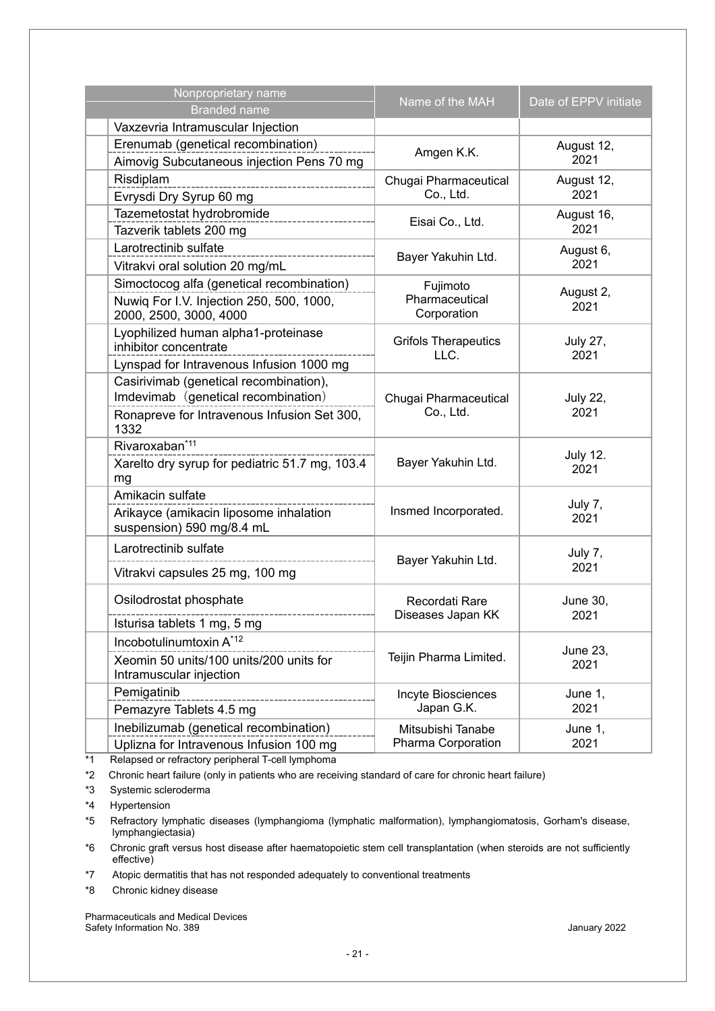| Nonproprietary name<br><b>Branded name</b>                                                                                           | Name of the MAH                           | Date of EPPV initiate   |
|--------------------------------------------------------------------------------------------------------------------------------------|-------------------------------------------|-------------------------|
| Vaxzevria Intramuscular Injection                                                                                                    |                                           |                         |
| Erenumab (genetical recombination)<br>Aimovig Subcutaneous injection Pens 70 mg                                                      | Amgen K.K.                                | August 12,<br>2021      |
| Risdiplam<br>Evrysdi Dry Syrup 60 mg                                                                                                 | Chugai Pharmaceutical<br>Co., Ltd.        | August 12,<br>2021      |
| Tazemetostat hydrobromide<br>Tazverik tablets 200 mg                                                                                 | Eisai Co., Ltd.                           | August 16,<br>2021      |
| Larotrectinib sulfate<br>Vitrakvi oral solution 20 mg/mL                                                                             | Bayer Yakuhin Ltd.                        | August 6,<br>2021       |
| Simoctocog alfa (genetical recombination)<br>Nuwiq For I.V. Injection 250, 500, 1000,<br>2000, 2500, 3000, 4000                      | Fujimoto<br>Pharmaceutical<br>Corporation | August 2,<br>2021       |
| Lyophilized human alpha1-proteinase<br>inhibitor concentrate<br>Lynspad for Intravenous Infusion 1000 mg                             | <b>Grifols Therapeutics</b><br>LLC.       | <b>July 27,</b><br>2021 |
| Casirivimab (genetical recombination),<br>Imdevimab (genetical recombination)<br>Ronapreve for Intravenous Infusion Set 300,<br>1332 | Chugai Pharmaceutical<br>Co., Ltd.        | <b>July 22,</b><br>2021 |
| Rivaroxaban <sup>*11</sup><br>Xarelto dry syrup for pediatric 51.7 mg, 103.4<br>mg                                                   | Bayer Yakuhin Ltd.                        | <b>July 12.</b><br>2021 |
| Amikacin sulfate<br>Arikayce (amikacin liposome inhalation<br>suspension) 590 mg/8.4 mL                                              | Insmed Incorporated.                      | July 7,<br>2021         |
| Larotrectinib sulfate<br>Vitrakvi capsules 25 mg, 100 mg                                                                             | Bayer Yakuhin Ltd.                        | July 7,<br>2021         |
| Osilodrostat phosphate                                                                                                               | Recordati Rare<br>Diseases Japan KK       | June 30,<br>2021        |
| Isturisa tablets 1 mg, 5 mg<br>Incobotulinumtoxin A*12                                                                               |                                           |                         |
| Xeomin 50 units/100 units/200 units for<br>Intramuscular injection                                                                   | Teijin Pharma Limited.                    | June 23,<br>2021        |
| Pemigatinib<br>Pemazyre Tablets 4.5 mg                                                                                               | Incyte Biosciences<br>Japan G.K.          | June 1,<br>2021         |
| Inebilizumab (genetical recombination)<br>Uplizna for Intravenous Infusion 100 mg<br>atory noriphoral T coll lymphome                | Mitsubishi Tanabe<br>Pharma Corporation   | June 1,<br>2021         |

\*1 Relapsed or refractory peripheral T-cell lymphoma

\*2 Chronic heart failure (only in patients who are receiving standard of care for chronic heart failure)

\*3 Systemic scleroderma

\*4 Hypertension

\*5 Refractory lymphatic diseases (lymphangioma (lymphatic malformation), lymphangiomatosis, Gorham's disease, lymphangiectasia)

\*6 Chronic graft versus host disease after haematopoietic stem cell transplantation (when steroids are not sufficiently effective)

\*7 Atopic dermatitis that has not responded adequately to conventional treatments

\*8 Chronic kidney disease